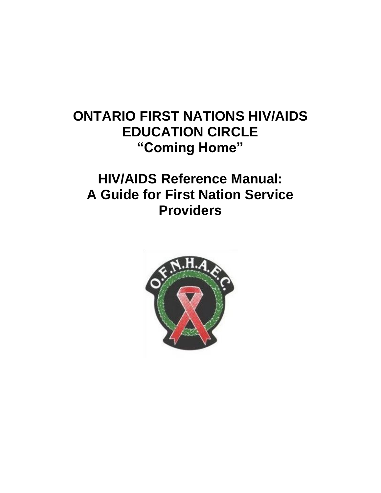# **ONTARIO FIRST NATIONS HIV/AIDS EDUCATION CIRCLE "Coming Home"**

# **HIV/AIDS Reference Manual: A Guide for First Nation Service Providers**

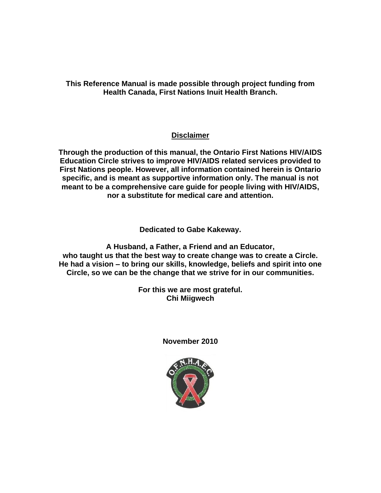**This Reference Manual is made possible through project funding from Health Canada, First Nations Inuit Health Branch.**

# **Disclaimer**

**Through the production of this manual, the Ontario First Nations HIV/AIDS Education Circle strives to improve HIV/AIDS related services provided to First Nations people. However, all information contained herein is Ontario specific, and is meant as supportive information only. The manual is not meant to be a comprehensive care guide for people living with HIV/AIDS, nor a substitute for medical care and attention.**

**Dedicated to Gabe Kakeway.**

**A Husband, a Father, a Friend and an Educator, who taught us that the best way to create change was to create a Circle. He had a vision – to bring our skills, knowledge, beliefs and spirit into one Circle, so we can be the change that we strive for in our communities.**

> **For this we are most grateful. Chi Miigwech**

> > **November 2010**

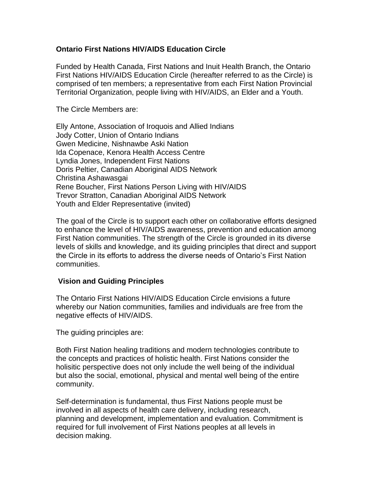## **Ontario First Nations HIV/AIDS Education Circle**

Funded by Health Canada, First Nations and Inuit Health Branch, the Ontario First Nations HIV/AIDS Education Circle (hereafter referred to as the Circle) is comprised of ten members; a representative from each First Nation Provincial Territorial Organization, people living with HIV/AIDS, an Elder and a Youth.

The Circle Members are:

Elly Antone, Association of Iroquois and Allied Indians Jody Cotter, Union of Ontario Indians Gwen Medicine, Nishnawbe Aski Nation Ida Copenace, Kenora Health Access Centre Lyndia Jones, Independent First Nations Doris Peltier, Canadian Aboriginal AIDS Network Christina Ashawasgai Rene Boucher, First Nations Person Living with HIV/AIDS Trevor Stratton, Canadian Aboriginal AIDS Network Youth and Elder Representative (invited)

The goal of the Circle is to support each other on collaborative efforts designed to enhance the level of HIV/AIDS awareness, prevention and education among First Nation communities. The strength of the Circle is grounded in its diverse levels of skills and knowledge, and its guiding principles that direct and support the Circle in its efforts to address the diverse needs of Ontario's First Nation communities.

#### **Vision and Guiding Principles**

The Ontario First Nations HIV/AIDS Education Circle envisions a future whereby our Nation communities, families and individuals are free from the negative effects of HIV/AIDS.

The guiding principles are:

Both First Nation healing traditions and modern technologies contribute to the concepts and practices of holistic health. First Nations consider the holisitic perspective does not only include the well being of the individual but also the social, emotional, physical and mental well being of the entire community.

Self-determination is fundamental, thus First Nations people must be involved in all aspects of health care delivery, including research, planning and development, implementation and evaluation. Commitment is required for full involvement of First Nations peoples at all levels in decision making.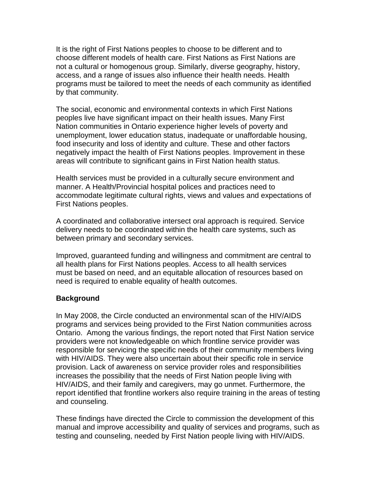It is the right of First Nations peoples to choose to be different and to choose different models of health care. First Nations as First Nations are not a cultural or homogenous group. Similarly, diverse geography, history, access, and a range of issues also influence their health needs. Health programs must be tailored to meet the needs of each community as identified by that community.

The social, economic and environmental contexts in which First Nations peoples live have significant impact on their health issues. Many First Nation communities in Ontario experience higher levels of poverty and unemployment, lower education status, inadequate or unaffordable housing, food insecurity and loss of identity and culture. These and other factors negatively impact the health of First Nations peoples. Improvement in these areas will contribute to significant gains in First Nation health status.

Health services must be provided in a culturally secure environment and manner. A Health/Provincial hospital polices and practices need to accommodate legitimate cultural rights, views and values and expectations of First Nations peoples.

A coordinated and collaborative intersect oral approach is required. Service delivery needs to be coordinated within the health care systems, such as between primary and secondary services.

Improved, guaranteed funding and willingness and commitment are central to all health plans for First Nations peoples. Access to all health services must be based on need, and an equitable allocation of resources based on need is required to enable equality of health outcomes.

## **Background**

In May 2008, the Circle conducted an environmental scan of the HIV/AIDS programs and services being provided to the First Nation communities across Ontario. Among the various findings, the report noted that First Nation service providers were not knowledgeable on which frontline service provider was responsible for servicing the specific needs of their community members living with HIV/AIDS. They were also uncertain about their specific role in service provision. Lack of awareness on service provider roles and responsibilities increases the possibility that the needs of First Nation people living with HIV/AIDS, and their family and caregivers, may go unmet. Furthermore, the report identified that frontline workers also require training in the areas of testing and counseling.

These findings have directed the Circle to commission the development of this manual and improve accessibility and quality of services and programs, such as testing and counseling, needed by First Nation people living with HIV/AIDS.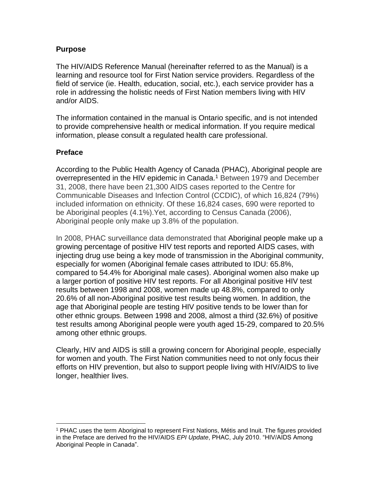## **Purpose**

The HIV/AIDS Reference Manual (hereinafter referred to as the Manual) is a learning and resource tool for First Nation service providers. Regardless of the field of service (ie. Health, education, social, etc.), each service provider has a role in addressing the holistic needs of First Nation members living with HIV and/or AIDS.

The information contained in the manual is Ontario specific, and is not intended to provide comprehensive health or medical information. If you require medical information, please consult a regulated health care professional.

## **Preface**

According to the Public Health Agency of Canada (PHAC), Aboriginal people are overrepresented in the HIV epidemic in Canada.<sup>1</sup> Between 1979 and December 31, 2008, there have been 21,300 AIDS cases reported to the Centre for Communicable Diseases and Infection Control (CCDIC), of which 16,824 (79%) included information on ethnicity. Of these 16,824 cases, 690 were reported to be Aboriginal peoples (4.1%).Yet, according to Census Canada (2006), Aboriginal people only make up 3.8% of the population.

In 2008, PHAC surveillance data demonstrated that Aboriginal people make up a growing percentage of positive HIV test reports and reported AIDS cases, with injecting drug use being a key mode of transmission in the Aboriginal community, especially for women (Aboriginal female cases attributed to IDU: 65.8%, compared to 54.4% for Aboriginal male cases). Aboriginal women also make up a larger portion of positive HIV test reports. For all Aboriginal positive HIV test results between 1998 and 2008, women made up 48.8%, compared to only 20.6% of all non-Aboriginal positive test results being women. In addition, the age that Aboriginal people are testing HIV positive tends to be lower than for other ethnic groups. Between 1998 and 2008, almost a third (32.6%) of positive test results among Aboriginal people were youth aged 15-29, compared to 20.5% among other ethnic groups.

Clearly, HIV and AIDS is still a growing concern for Aboriginal people, especially for women and youth. The First Nation communities need to not only focus their efforts on HIV prevention, but also to support people living with HIV/AIDS to live longer, healthier lives.

<sup>1</sup> PHAC uses the term Aboriginal to represent First Nations, Métis and Inuit. The figures provided in the Preface are derived fro the HIV/AIDS *EPI Update*, PHAC, July 2010. "HIV/AIDS Among Aboriginal People in Canada".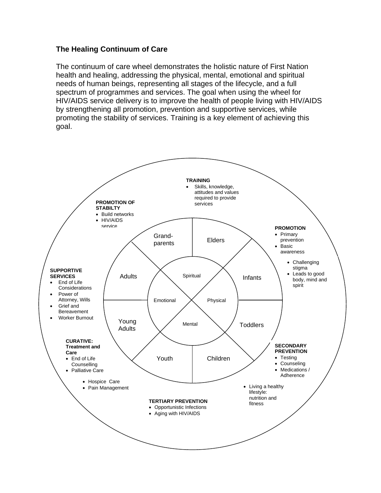# **The Healing Continuum of Care**

The continuum of care wheel demonstrates the holistic nature of First Nation health and healing, addressing the physical, mental, emotional and spiritual needs of human beings, representing all stages of the lifecycle, and a full spectrum of programmes and services. The goal when using the wheel for HIV/AIDS service delivery is to improve the health of people living with HIV/AIDS by strengthening all promotion, prevention and supportive services, while promoting the stability of services. Training is a key element of achieving this goal.

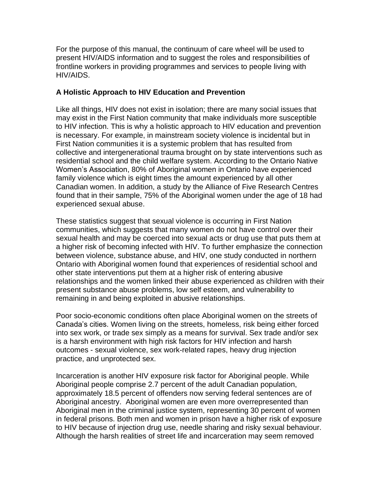For the purpose of this manual, the continuum of care wheel will be used to present HIV/AIDS information and to suggest the roles and responsibilities of frontline workers in providing programmes and services to people living with HIV/AIDS.

## **A Holistic Approach to HIV Education and Prevention**

Like all things, HIV does not exist in isolation; there are many social issues that may exist in the First Nation community that make individuals more susceptible to HIV infection. This is why a holistic approach to HIV education and prevention is necessary. For example, in mainstream society violence is incidental but in First Nation communities it is a systemic problem that has resulted from collective and intergenerational trauma brought on by state interventions such as residential school and the child welfare system. According to the Ontario Native Women's Association, 80% of Aboriginal women in Ontario have experienced family violence which is eight times the amount experienced by all other Canadian women. In addition, a study by the Alliance of Five Research Centres found that in their sample, 75% of the Aboriginal women under the age of 18 had experienced sexual abuse.

These statistics suggest that sexual violence is occurring in First Nation communities, which suggests that many women do not have control over their sexual health and may be coerced into sexual acts or drug use that puts them at a higher risk of becoming infected with HIV. To further emphasize the connection between violence, substance abuse, and HIV, one study conducted in northern Ontario with Aboriginal women found that experiences of residential school and other state interventions put them at a higher risk of entering abusive relationships and the women linked their abuse experienced as children with their present substance abuse problems, low self esteem, and vulnerability to remaining in and being exploited in abusive relationships.

Poor socio-economic conditions often place Aboriginal women on the streets of Canada's cities. Women living on the streets, homeless, risk being either forced into sex work, or trade sex simply as a means for survival. Sex trade and/or sex is a harsh environment with high risk factors for HIV infection and harsh outcomes - sexual violence, sex work-related rapes, heavy drug injection practice, and unprotected sex.

Incarceration is another HIV exposure risk factor for Aboriginal people. While Aboriginal people comprise 2.7 percent of the adult Canadian population, approximately 18.5 percent of offenders now serving federal sentences are of Aboriginal ancestry. Aboriginal women are even more overrepresented than Aboriginal men in the criminal justice system, representing 30 percent of women in federal prisons. Both men and women in prison have a higher risk of exposure to HIV because of injection drug use, needle sharing and risky sexual behaviour. Although the harsh realities of street life and incarceration may seem removed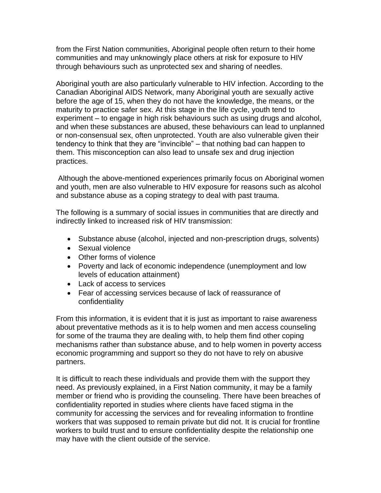from the First Nation communities, Aboriginal people often return to their home communities and may unknowingly place others at risk for exposure to HIV through behaviours such as unprotected sex and sharing of needles.

Aboriginal youth are also particularly vulnerable to HIV infection. According to the Canadian Aboriginal AIDS Network, many Aboriginal youth are sexually active before the age of 15, when they do not have the knowledge, the means, or the maturity to practice safer sex. At this stage in the life cycle, youth tend to experiment – to engage in high risk behaviours such as using drugs and alcohol, and when these substances are abused, these behaviours can lead to unplanned or non-consensual sex, often unprotected. Youth are also vulnerable given their tendency to think that they are "invincible" – that nothing bad can happen to them. This misconception can also lead to unsafe sex and drug injection practices.

Although the above-mentioned experiences primarily focus on Aboriginal women and youth, men are also vulnerable to HIV exposure for reasons such as alcohol and substance abuse as a coping strategy to deal with past trauma.

The following is a summary of social issues in communities that are directly and indirectly linked to increased risk of HIV transmission:

- Substance abuse (alcohol, injected and non-prescription drugs, solvents)
- Sexual violence
- Other forms of violence
- Poverty and lack of economic independence (unemployment and low levels of education attainment)
- Lack of access to services
- Fear of accessing services because of lack of reassurance of confidentiality

From this information, it is evident that it is just as important to raise awareness about preventative methods as it is to help women and men access counseling for some of the trauma they are dealing with, to help them find other coping mechanisms rather than substance abuse, and to help women in poverty access economic programming and support so they do not have to rely on abusive partners.

It is difficult to reach these individuals and provide them with the support they need. As previously explained, in a First Nation community, it may be a family member or friend who is providing the counseling. There have been breaches of confidentiality reported in studies where clients have faced stigma in the community for accessing the services and for revealing information to frontline workers that was supposed to remain private but did not. It is crucial for frontline workers to build trust and to ensure confidentiality despite the relationship one may have with the client outside of the service.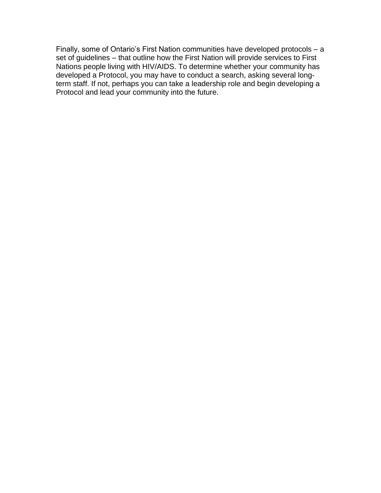Finally, some of Ontario's First Nation communities have developed protocols – a set of guidelines – that outline how the First Nation will provide services to First Nations people living with HIV/AIDS. To determine whether your community has developed a Protocol, you may have to conduct a search, asking several longterm staff. If not, perhaps you can take a leadership role and begin developing a Protocol and lead your community into the future.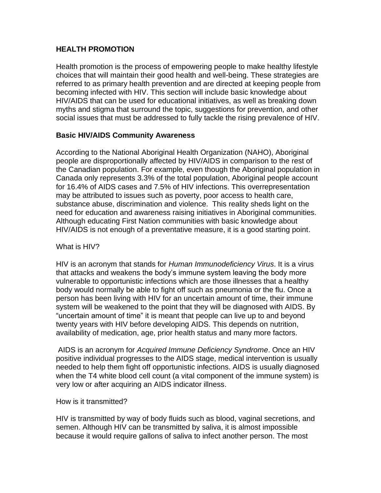## **HEALTH PROMOTION**

Health promotion is the process of empowering people to make healthy lifestyle choices that will maintain their good health and well-being. These strategies are referred to as primary health prevention and are directed at keeping people from becoming infected with HIV. This section will include basic knowledge about HIV/AIDS that can be used for educational initiatives, as well as breaking down myths and stigma that surround the topic, suggestions for prevention, and other social issues that must be addressed to fully tackle the rising prevalence of HIV.

## **Basic HIV/AIDS Community Awareness**

According to the National Aboriginal Health Organization (NAHO), Aboriginal people are disproportionally affected by HIV/AIDS in comparison to the rest of the Canadian population. For example, even though the Aboriginal population in Canada only represents 3.3% of the total population, Aboriginal people account for 16.4% of AIDS cases and 7.5% of HIV infections. This overrepresentation may be attributed to issues such as poverty, poor access to health care, substance abuse, discrimination and violence. This reality sheds light on the need for education and awareness raising initiatives in Aboriginal communities. Although educating First Nation communities with basic knowledge about HIV/AIDS is not enough of a preventative measure, it is a good starting point.

## What is HIV?

HIV is an acronym that stands for *Human Immunodeficiency Virus*. It is a virus that attacks and weakens the body's immune system leaving the body more vulnerable to opportunistic infections which are those illnesses that a healthy body would normally be able to fight off such as pneumonia or the flu. Once a person has been living with HIV for an uncertain amount of time, their immune system will be weakened to the point that they will be diagnosed with AIDS. By "uncertain amount of time" it is meant that people can live up to and beyond twenty years with HIV before developing AIDS. This depends on nutrition, availability of medication, age, prior health status and many more factors.

AIDS is an acronym for *Acquired Immune Deficiency Syndrome*. Once an HIV positive individual progresses to the AIDS stage, medical intervention is usually needed to help them fight off opportunistic infections. AIDS is usually diagnosed when the T4 white blood cell count (a vital component of the immune system) is very low or after acquiring an AIDS indicator illness.

## How is it transmitted?

HIV is transmitted by way of body fluids such as blood, vaginal secretions, and semen. Although HIV can be transmitted by saliva, it is almost impossible because it would require gallons of saliva to infect another person. The most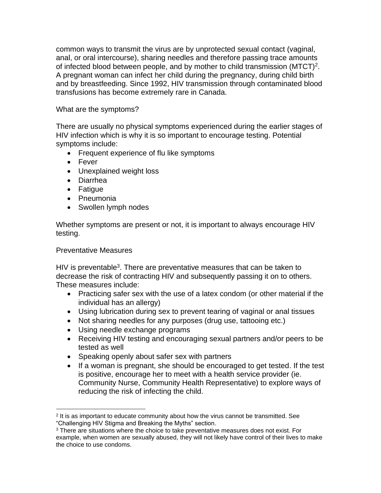common ways to transmit the virus are by unprotected sexual contact (vaginal, anal, or oral intercourse), sharing needles and therefore passing trace amounts of infected blood between people, and by mother to child transmission  $(MTCT)^2$ . A pregnant woman can infect her child during the pregnancy, during child birth and by breastfeeding. Since 1992, HIV transmission through contaminated blood transfusions has become extremely rare in Canada.

What are the symptoms?

There are usually no physical symptoms experienced during the earlier stages of HIV infection which is why it is so important to encourage testing. Potential symptoms include:

- Frequent experience of flu like symptoms
- Fever
- Unexplained weight loss
- Diarrhea
- Fatigue
- Pneumonia
- Swollen lymph nodes

Whether symptoms are present or not, it is important to always encourage HIV testing.

## Preventative Measures

HIV is preventable<sup>3</sup>. There are preventative measures that can be taken to decrease the risk of contracting HIV and subsequently passing it on to others. These measures include:

- Practicing safer sex with the use of a latex condom (or other material if the individual has an allergy)
- Using lubrication during sex to prevent tearing of vaginal or anal tissues
- Not sharing needles for any purposes (drug use, tattooing etc.)
- Using needle exchange programs
- Receiving HIV testing and encouraging sexual partners and/or peers to be tested as well
- Speaking openly about safer sex with partners
- If a woman is pregnant, she should be encouraged to get tested. If the test is positive, encourage her to meet with a health service provider (ie. Community Nurse, Community Health Representative) to explore ways of reducing the risk of infecting the child.

<sup>&</sup>lt;sup>2</sup> It is as important to educate community about how the virus cannot be transmitted. See "Challenging HIV Stigma and Breaking the Myths" section.

<sup>&</sup>lt;sup>3</sup> There are situations where the choice to take preventative measures does not exist. For example, when women are sexually abused, they will not likely have control of their lives to make the choice to use condoms.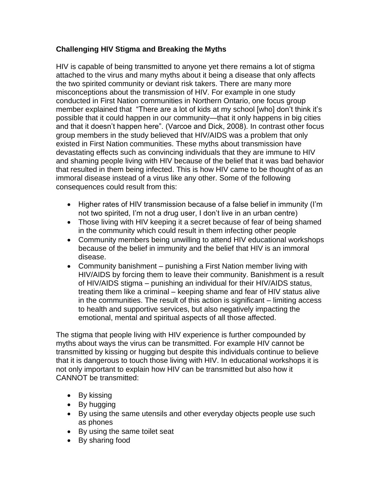# **Challenging HIV Stigma and Breaking the Myths**

HIV is capable of being transmitted to anyone yet there remains a lot of stigma attached to the virus and many myths about it being a disease that only affects the two spirited community or deviant risk takers. There are many more misconceptions about the transmission of HIV. For example in one study conducted in First Nation communities in Northern Ontario, one focus group member explained that "There are a lot of kids at my school [who] don't think it's possible that it could happen in our community—that it only happens in big cities and that it doesn't happen here". (Varcoe and Dick, 2008). In contrast other focus group members in the study believed that HIV/AIDS was a problem that only existed in First Nation communities. These myths about transmission have devastating effects such as convincing individuals that they are immune to HIV and shaming people living with HIV because of the belief that it was bad behavior that resulted in them being infected. This is how HIV came to be thought of as an immoral disease instead of a virus like any other. Some of the following consequences could result from this:

- Higher rates of HIV transmission because of a false belief in immunity (I'm not two spirited, I'm not a drug user, I don't live in an urban centre)
- Those living with HIV keeping it a secret because of fear of being shamed in the community which could result in them infecting other people
- Community members being unwilling to attend HIV educational workshops because of the belief in immunity and the belief that HIV is an immoral disease.
- Community banishment punishing a First Nation member living with HIV/AIDS by forcing them to leave their community. Banishment is a result of HIV/AIDS stigma – punishing an individual for their HIV/AIDS status, treating them like a criminal – keeping shame and fear of HIV status alive in the communities. The result of this action is significant – limiting access to health and supportive services, but also negatively impacting the emotional, mental and spiritual aspects of all those affected.

The stigma that people living with HIV experience is further compounded by myths about ways the virus can be transmitted. For example HIV cannot be transmitted by kissing or hugging but despite this individuals continue to believe that it is dangerous to touch those living with HIV. In educational workshops it is not only important to explain how HIV can be transmitted but also how it CANNOT be transmitted:

- By kissing
- By hugging
- By using the same utensils and other everyday objects people use such as phones
- By using the same toilet seat
- By sharing food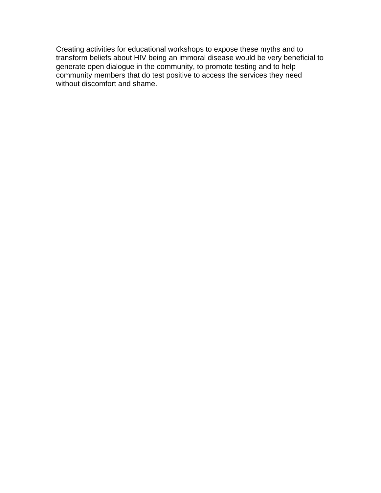Creating activities for educational workshops to expose these myths and to transform beliefs about HIV being an immoral disease would be very beneficial to generate open dialogue in the community, to promote testing and to help community members that do test positive to access the services they need without discomfort and shame.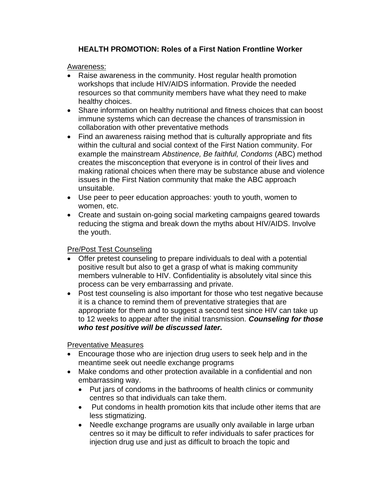# **HEALTH PROMOTION: Roles of a First Nation Frontline Worker**

## Awareness:

- Raise awareness in the community. Host regular health promotion workshops that include HIV/AIDS information. Provide the needed resources so that community members have what they need to make healthy choices.
- Share information on healthy nutritional and fitness choices that can boost immune systems which can decrease the chances of transmission in collaboration with other preventative methods
- Find an awareness raising method that is culturally appropriate and fits within the cultural and social context of the First Nation community. For example the mainstream *Abstinence, Be faithful, Condoms* (ABC) method creates the misconception that everyone is in control of their lives and making rational choices when there may be substance abuse and violence issues in the First Nation community that make the ABC approach unsuitable.
- Use peer to peer education approaches: youth to youth, women to women, etc.
- Create and sustain on-going social marketing campaigns geared towards reducing the stigma and break down the myths about HIV/AIDS. Involve the youth.

# Pre/Post Test Counseling

- Offer pretest counseling to prepare individuals to deal with a potential positive result but also to get a grasp of what is making community members vulnerable to HIV. Confidentiality is absolutely vital since this process can be very embarrassing and private.
- Post test counseling is also important for those who test negative because it is a chance to remind them of preventative strategies that are appropriate for them and to suggest a second test since HIV can take up to 12 weeks to appear after the initial transmission. *Counseling for those who test positive will be discussed later.*

Preventative Measures

- Encourage those who are injection drug users to seek help and in the meantime seek out needle exchange programs
- Make condoms and other protection available in a confidential and non embarrassing way.
	- Put iars of condoms in the bathrooms of health clinics or community centres so that individuals can take them.
	- Put condoms in health promotion kits that include other items that are less stigmatizing.
	- Needle exchange programs are usually only available in large urban centres so it may be difficult to refer individuals to safer practices for injection drug use and just as difficult to broach the topic and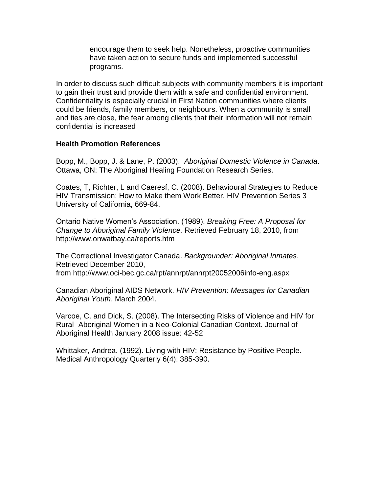encourage them to seek help. Nonetheless, proactive communities have taken action to secure funds and implemented successful programs.

In order to discuss such difficult subjects with community members it is important to gain their trust and provide them with a safe and confidential environment. Confidentiality is especially crucial in First Nation communities where clients could be friends, family members, or neighbours. When a community is small and ties are close, the fear among clients that their information will not remain confidential is increased

#### **Health Promotion References**

Bopp, M., Bopp, J. & Lane, P. (2003). *Aboriginal Domestic Violence in Canada*. Ottawa, ON: The Aboriginal Healing Foundation Research Series.

Coates, T, Richter, L and Caeresf, C. (2008). Behavioural Strategies to Reduce HIV Transmission: How to Make them Work Better. HIV Prevention Series 3 University of California, 669-84.

Ontario Native Women's Association. (1989). *Breaking Free: A Proposal for Change to Aboriginal Family Violence.* Retrieved February 18, 2010, from http://www.onwatbay.ca/reports.htm

The Correctional Investigator Canada. *Backgrounder: Aboriginal Inmates*. Retrieved December 2010, from http://www.oci-bec.gc.ca/rpt/annrpt/annrpt20052006info-eng.aspx

Canadian Aboriginal AIDS Network. *HIV Prevention: Messages for Canadian Aboriginal Youth*. March 2004.

Varcoe, C. and Dick, S. (2008). The Intersecting Risks of Violence and HIV for Rural Aboriginal Women in a Neo-Colonial Canadian Context. Journal of Aboriginal Health January 2008 issue: 42-52

Whittaker, Andrea. (1992). Living with HIV: Resistance by Positive People. Medical Anthropology Quarterly 6(4): 385-390.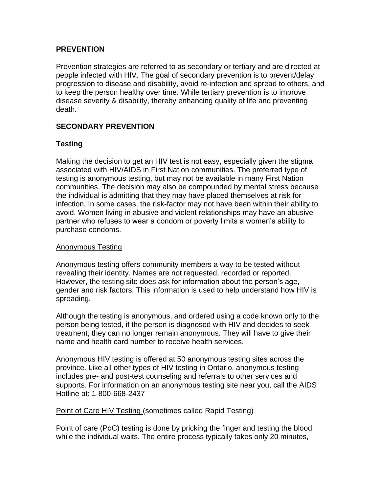## **PREVENTION**

Prevention strategies are referred to as secondary or tertiary and are directed at people infected with HIV. The goal of secondary prevention is to prevent/delay progression to disease and disability, avoid re-infection and spread to others, and to keep the person healthy over time. While tertiary prevention is to improve disease severity & disability, thereby enhancing quality of life and preventing death.

# **SECONDARY PREVENTION**

## **Testing**

Making the decision to get an HIV test is not easy, especially given the stigma associated with HIV/AIDS in First Nation communities. The preferred type of testing is anonymous testing, but may not be available in many First Nation communities. The decision may also be compounded by mental stress because the individual is admitting that they may have placed themselves at risk for infection. In some cases, the risk-factor may not have been within their ability to avoid. Women living in abusive and violent relationships may have an abusive partner who refuses to wear a condom or poverty limits a women's ability to purchase condoms.

#### Anonymous Testing

Anonymous testing offers community members a way to be tested without revealing their identity. Names are not requested, recorded or reported. However, the testing site does ask for information about the person's age, gender and risk factors. This information is used to help understand how HIV is spreading.

Although the testing is anonymous, and ordered using a code known only to the person being tested, if the person is diagnosed with HIV and decides to seek treatment, they can no longer remain anonymous. They will have to give their name and health card number to receive health services.

Anonymous HIV testing is offered at 50 anonymous testing sites across the province. Like all other types of HIV testing in Ontario, anonymous testing includes pre- and post-test counseling and referrals to other services and supports. For information on an anonymous testing site near you, call the AIDS Hotline at: 1-800-668-2437

## Point of Care HIV Testing (sometimes called Rapid Testing)

Point of care (PoC) testing is done by pricking the finger and testing the blood while the individual waits. The entire process typically takes only 20 minutes,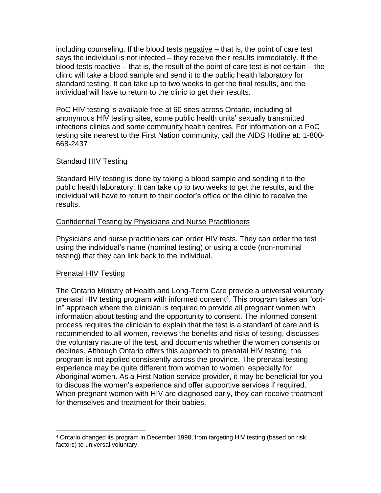including counseling. If the blood tests negative  $-$  that is, the point of care test says the individual is not infected – they receive their results immediately. If the blood tests reactive – that is, the result of the point of care test is not certain – the clinic will take a blood sample and send it to the public health laboratory for standard testing. It can take up to two weeks to get the final results, and the individual will have to return to the clinic to get their results.

PoC HIV testing is available free at 60 sites across Ontario, including all anonymous HIV testing sites, some public health units' sexually transmitted infections clinics and some community health centres. For information on a PoC testing site nearest to the First Nation community, call the AIDS Hotline at: 1-800- 668-2437

## Standard HIV Testing

Standard HIV testing is done by taking a blood sample and sending it to the public health laboratory. It can take up to two weeks to get the results, and the individual will have to return to their doctor's office or the clinic to receive the results.

## Confidential Testing by Physicians and Nurse Practitioners

Physicians and nurse practitioners can order HIV tests. They can order the test using the individual's name (nominal testing) or using a code (non-nominal testing) that they can link back to the individual.

## Prenatal HIV Testing

The Ontario Ministry of Health and Long-Term Care provide a universal voluntary prenatal HIV testing program with informed consent<sup>4</sup>. This program takes an "optin" approach where the clinician is required to provide all pregnant women with information about testing and the opportunity to consent. The informed consent process requires the clinician to explain that the test is a standard of care and is recommended to all women, reviews the benefits and risks of testing, discusses the voluntary nature of the test, and documents whether the women consents or declines. Although Ontario offers this approach to prenatal HIV testing, the program is not applied consistently across the province. The prenatal testing experience may be quite different from woman to women, especially for Aboriginal women. As a First Nation service provider, it may be beneficial for you to discuss the women's experience and offer supportive services if required. When pregnant women with HIV are diagnosed early, they can receive treatment for themselves and treatment for their babies.

<sup>4</sup> Ontario changed its program in December 1998, from targeting HIV testing (based on risk factors) to universal voluntary.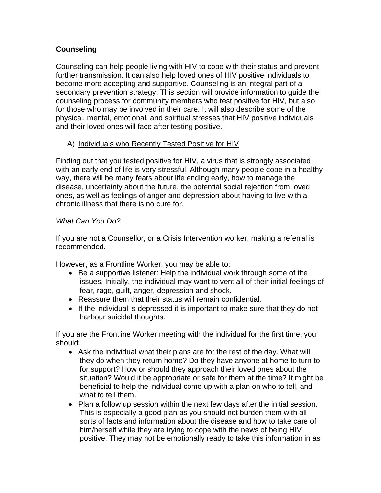# **Counseling**

Counseling can help people living with HIV to cope with their status and prevent further transmission. It can also help loved ones of HIV positive individuals to become more accepting and supportive. Counseling is an integral part of a secondary prevention strategy. This section will provide information to guide the counseling process for community members who test positive for HIV, but also for those who may be involved in their care. It will also describe some of the physical, mental, emotional, and spiritual stresses that HIV positive individuals and their loved ones will face after testing positive.

## A) Individuals who Recently Tested Positive for HIV

Finding out that you tested positive for HIV, a virus that is strongly associated with an early end of life is very stressful. Although many people cope in a healthy way, there will be many fears about life ending early, how to manage the disease, uncertainty about the future, the potential social rejection from loved ones, as well as feelings of anger and depression about having to live with a chronic illness that there is no cure for.

## *What Can You Do?*

If you are not a Counsellor, or a Crisis Intervention worker, making a referral is recommended.

However, as a Frontline Worker, you may be able to:

- Be a supportive listener: Help the individual work through some of the issues. Initially, the individual may want to vent all of their initial feelings of fear, rage, guilt, anger, depression and shock.
- Reassure them that their status will remain confidential.
- If the individual is depressed it is important to make sure that they do not harbour suicidal thoughts.

If you are the Frontline Worker meeting with the individual for the first time, you should:

- Ask the individual what their plans are for the rest of the day. What will they do when they return home? Do they have anyone at home to turn to for support? How or should they approach their loved ones about the situation? Would it be appropriate or safe for them at the time? It might be beneficial to help the individual come up with a plan on who to tell, and what to tell them.
- Plan a follow up session within the next few days after the initial session. This is especially a good plan as you should not burden them with all sorts of facts and information about the disease and how to take care of him/herself while they are trying to cope with the news of being HIV positive. They may not be emotionally ready to take this information in as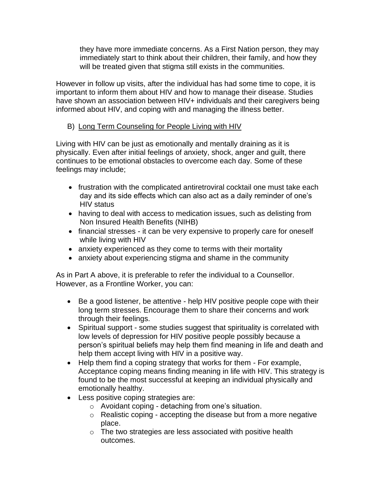they have more immediate concerns. As a First Nation person, they may immediately start to think about their children, their family, and how they will be treated given that stigma still exists in the communities.

However in follow up visits, after the individual has had some time to cope, it is important to inform them about HIV and how to manage their disease. Studies have shown an association between HIV+ individuals and their caregivers being informed about HIV, and coping with and managing the illness better.

# B) Long Term Counseling for People Living with HIV

Living with HIV can be just as emotionally and mentally draining as it is physically. Even after initial feelings of anxiety, shock, anger and guilt, there continues to be emotional obstacles to overcome each day. Some of these feelings may include;

- frustration with the complicated antiretroviral cocktail one must take each day and its side effects which can also act as a daily reminder of one's HIV status
- having to deal with access to medication issues, such as delisting from Non Insured Health Benefits (NIHB)
- financial stresses it can be very expensive to properly care for oneself while living with HIV
- anxiety experienced as they come to terms with their mortality
- anxiety about experiencing stigma and shame in the community

As in Part A above, it is preferable to refer the individual to a Counsellor. However, as a Frontline Worker, you can:

- Be a good listener, be attentive help HIV positive people cope with their long term stresses. Encourage them to share their concerns and work through their feelings.
- Spiritual support some studies suggest that spirituality is correlated with low levels of depression for HIV positive people possibly because a person's spiritual beliefs may help them find meaning in life and death and help them accept living with HIV in a positive way.
- Help them find a coping strategy that works for them For example, Acceptance coping means finding meaning in life with HIV. This strategy is found to be the most successful at keeping an individual physically and emotionally healthy.
- Less positive coping strategies are:
	- o Avoidant coping detaching from one's situation.
	- o Realistic coping accepting the disease but from a more negative place.
	- o The two strategies are less associated with positive health outcomes.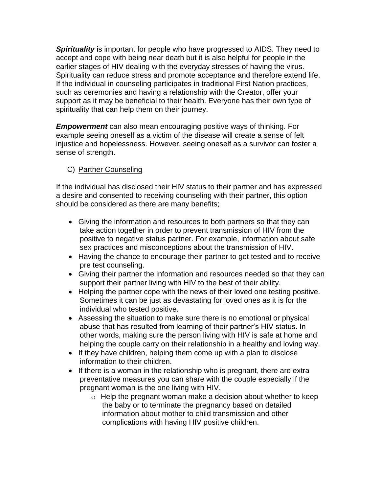*Spirituality* is important for people who have progressed to AIDS. They need to accept and cope with being near death but it is also helpful for people in the earlier stages of HIV dealing with the everyday stresses of having the virus. Spirituality can reduce stress and promote acceptance and therefore extend life. If the individual in counseling participates in traditional First Nation practices, such as ceremonies and having a relationship with the Creator, offer your support as it may be beneficial to their health. Everyone has their own type of spirituality that can help them on their journey.

*Empowerment* can also mean encouraging positive ways of thinking. For example seeing oneself as a victim of the disease will create a sense of felt injustice and hopelessness. However, seeing oneself as a survivor can foster a sense of strength.

# C) Partner Counseling

If the individual has disclosed their HIV status to their partner and has expressed a desire and consented to receiving counseling with their partner, this option should be considered as there are many benefits;

- Giving the information and resources to both partners so that they can take action together in order to prevent transmission of HIV from the positive to negative status partner. For example, information about safe sex practices and misconceptions about the transmission of HIV.
- Having the chance to encourage their partner to get tested and to receive pre test counseling.
- Giving their partner the information and resources needed so that they can support their partner living with HIV to the best of their ability.
- Helping the partner cope with the news of their loved one testing positive. Sometimes it can be just as devastating for loved ones as it is for the individual who tested positive.
- Assessing the situation to make sure there is no emotional or physical abuse that has resulted from learning of their partner's HIV status. In other words, making sure the person living with HIV is safe at home and helping the couple carry on their relationship in a healthy and loving way.
- If they have children, helping them come up with a plan to disclose information to their children.
- If there is a woman in the relationship who is pregnant, there are extra preventative measures you can share with the couple especially if the pregnant woman is the one living with HIV.
	- $\circ$  Help the pregnant woman make a decision about whether to keep the baby or to terminate the pregnancy based on detailed information about mother to child transmission and other complications with having HIV positive children.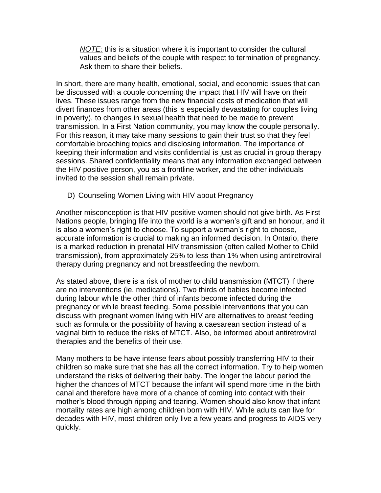*NOTE:* this is a situation where it is important to consider the cultural values and beliefs of the couple with respect to termination of pregnancy. Ask them to share their beliefs.

In short, there are many health, emotional, social, and economic issues that can be discussed with a couple concerning the impact that HIV will have on their lives. These issues range from the new financial costs of medication that will divert finances from other areas (this is especially devastating for couples living in poverty), to changes in sexual health that need to be made to prevent transmission. In a First Nation community, you may know the couple personally. For this reason, it may take many sessions to gain their trust so that they feel comfortable broaching topics and disclosing information. The importance of keeping their information and visits confidential is just as crucial in group therapy sessions. Shared confidentiality means that any information exchanged between the HIV positive person, you as a frontline worker, and the other individuals invited to the session shall remain private.

## D) Counseling Women Living with HIV about Pregnancy

Another misconception is that HIV positive women should not give birth. As First Nations people, bringing life into the world is a women's gift and an honour, and it is also a women's right to choose. To support a woman's right to choose, accurate information is crucial to making an informed decision. In Ontario, there is a marked reduction in prenatal HIV transmission (often called Mother to Child transmission), from approximately 25% to less than 1% when using antiretroviral therapy during pregnancy and not breastfeeding the newborn.

As stated above, there is a risk of mother to child transmission (MTCT) if there are no interventions (ie. medications). Two thirds of babies become infected during labour while the other third of infants become infected during the pregnancy or while breast feeding. Some possible interventions that you can discuss with pregnant women living with HIV are alternatives to breast feeding such as formula or the possibility of having a caesarean section instead of a vaginal birth to reduce the risks of MTCT. Also, be informed about antiretroviral therapies and the benefits of their use.

Many mothers to be have intense fears about possibly transferring HIV to their children so make sure that she has all the correct information. Try to help women understand the risks of delivering their baby. The longer the labour period the higher the chances of MTCT because the infant will spend more time in the birth canal and therefore have more of a chance of coming into contact with their mother's blood through ripping and tearing. Women should also know that infant mortality rates are high among children born with HIV. While adults can live for decades with HIV, most children only live a few years and progress to AIDS very quickly.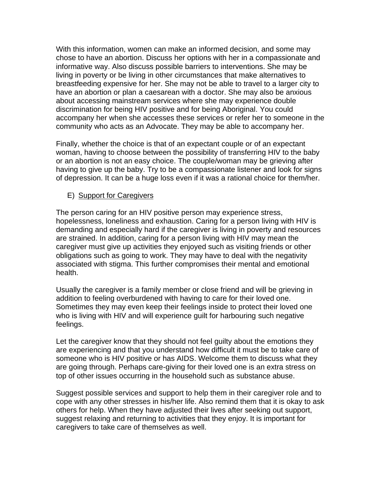With this information, women can make an informed decision, and some may chose to have an abortion. Discuss her options with her in a compassionate and informative way. Also discuss possible barriers to interventions. She may be living in poverty or be living in other circumstances that make alternatives to breastfeeding expensive for her. She may not be able to travel to a larger city to have an abortion or plan a caesarean with a doctor. She may also be anxious about accessing mainstream services where she may experience double discrimination for being HIV positive and for being Aboriginal. You could accompany her when she accesses these services or refer her to someone in the community who acts as an Advocate. They may be able to accompany her.

Finally, whether the choice is that of an expectant couple or of an expectant woman, having to choose between the possibility of transferring HIV to the baby or an abortion is not an easy choice. The couple/woman may be grieving after having to give up the baby. Try to be a compassionate listener and look for signs of depression. It can be a huge loss even if it was a rational choice for them/her.

## E) Support for Caregivers

The person caring for an HIV positive person may experience stress, hopelessness, loneliness and exhaustion. Caring for a person living with HIV is demanding and especially hard if the caregiver is living in poverty and resources are strained. In addition, caring for a person living with HIV may mean the caregiver must give up activities they enjoyed such as visiting friends or other obligations such as going to work. They may have to deal with the negativity associated with stigma. This further compromises their mental and emotional health.

Usually the caregiver is a family member or close friend and will be grieving in addition to feeling overburdened with having to care for their loved one. Sometimes they may even keep their feelings inside to protect their loved one who is living with HIV and will experience guilt for harbouring such negative feelings.

Let the caregiver know that they should not feel guilty about the emotions they are experiencing and that you understand how difficult it must be to take care of someone who is HIV positive or has AIDS. Welcome them to discuss what they are going through. Perhaps care-giving for their loved one is an extra stress on top of other issues occurring in the household such as substance abuse.

Suggest possible services and support to help them in their caregiver role and to cope with any other stresses in his/her life. Also remind them that it is okay to ask others for help. When they have adjusted their lives after seeking out support, suggest relaxing and returning to activities that they enjoy. It is important for caregivers to take care of themselves as well.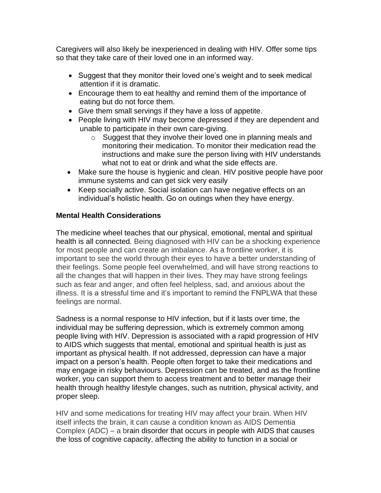Caregivers will also likely be inexperienced in dealing with HIV. Offer some tips so that they take care of their loved one in an informed way.

- Suggest that they monitor their loved one's weight and to seek medical attention if it is dramatic.
- Encourage them to eat healthy and remind them of the importance of eating but do not force them.
- Give them small servings if they have a loss of appetite.
- People living with HIV may become depressed if they are dependent and unable to participate in their own care-giving.
	- o Suggest that they involve their loved one in planning meals and monitoring their medication. To monitor their medication read the instructions and make sure the person living with HIV understands what not to eat or drink and what the side effects are.
- Make sure the house is hygienic and clean. HIV positive people have poor immune systems and can get sick very easily
- Keep socially active. Social isolation can have negative effects on an individual's holistic health. Go on outings when they have energy.

# **Mental Health Considerations**

The medicine wheel teaches that our physical, emotional, mental and spiritual health is all connected. Being diagnosed with HIV can be a shocking experience for most people and can create an imbalance. As a frontline worker, it is important to see the world through their eyes to have a better understanding of their feelings. Some people feel overwhelmed, and will have strong reactions to all the changes that will happen in their lives. They may have strong feelings such as fear and anger, and often feel helpless, sad, and anxious about the illness. It is a stressful time and it's important to remind the FNPLWA that these feelings are normal.

Sadness is a normal response to HIV infection, but if it lasts over time, the individual may be suffering depression, which is extremely common among people living with HIV. Depression is associated with a rapid progression of HIV to AIDS which suggests that mental, emotional and spiritual health is just as important as physical health. If not addressed, depression can have a major impact on a person's health. People often forget to take their medications and may engage in risky behaviours. Depression can be treated, and as the frontline worker, you can support them to access treatment and to better manage their health through healthy lifestyle changes, such as nutrition, physical activity, and proper sleep.

HIV and some medications for treating HIV may affect your brain. When HIV itself infects the brain, it can cause a condition known as AIDS Dementia Complex (ADC) – a brain disorder that occurs in people with AIDS that causes the loss of cognitive capacity, affecting the ability to function in a social or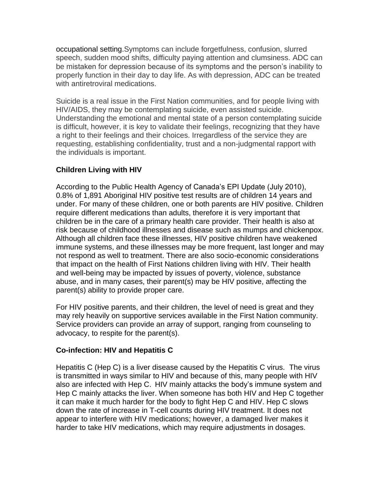occupational setting.Symptoms can include forgetfulness, confusion, slurred speech, sudden mood shifts, difficulty paying attention and clumsiness. ADC can be mistaken for depression because of its symptoms and the person's inability to properly function in their day to day life. As with depression, ADC can be treated with antiretroviral medications.

Suicide is a real issue in the First Nation communities, and for people living with HIV/AIDS, they may be contemplating suicide, even assisted suicide. Understanding the emotional and mental state of a person contemplating suicide is difficult, however, it is key to validate their feelings, recognizing that they have a right to their feelings and their choices. Irregardless of the service they are requesting, establishing confidentiality, trust and a non-judgmental rapport with the individuals is important.

# **Children Living with HIV**

According to the Public Health Agency of Canada's EPI Update (July 2010), 0.8% of 1,891 Aboriginal HIV positive test results are of children 14 years and under. For many of these children, one or both parents are HIV positive. Children require different medications than adults, therefore it is very important that children be in the care of a primary health care provider. Their health is also at risk because of childhood illnesses and disease such as mumps and chickenpox. Although all children face these illnesses, HIV positive children have weakened immune systems, and these illnesses may be more frequent, last longer and may not respond as well to treatment. There are also socio-economic considerations that impact on the health of First Nations children living with HIV. Their health and well-being may be impacted by issues of poverty, violence, substance abuse, and in many cases, their parent(s) may be HIV positive, affecting the parent(s) ability to provide proper care.

For HIV positive parents, and their children, the level of need is great and they may rely heavily on supportive services available in the First Nation community. Service providers can provide an array of support, ranging from counseling to advocacy, to respite for the parent(s).

# **Co-infection: HIV and Hepatitis C**

Hepatitis C (Hep C) is a liver disease caused by the Hepatitis C virus. The virus is transmitted in ways similar to HIV and because of this, many people with HIV also are infected with Hep C. HIV mainly attacks the body's immune system and Hep C mainly attacks the liver. When someone has both HIV and Hep C together it can make it much harder for the body to fight Hep C and HIV. Hep C slows down the rate of increase in T-cell counts during HIV treatment. It does not appear to interfere with HIV medications; however, a damaged liver makes it harder to take HIV medications, which may require adjustments in dosages.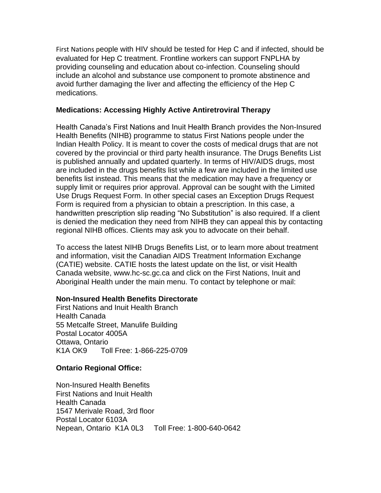First Nations people with HIV should be tested for Hep C and if infected, should be evaluated for Hep C treatment. Frontline workers can support FNPLHA by providing counseling and education about co-infection. Counseling should include an alcohol and substance use component to promote abstinence and avoid further damaging the liver and affecting the efficiency of the Hep C medications.

## **Medications: Accessing Highly Active Antiretroviral Therapy**

Health Canada's First Nations and Inuit Health Branch provides the Non-Insured Health Benefits (NIHB) programme to status First Nations people under the Indian Health Policy. It is meant to cover the costs of medical drugs that are not covered by the provincial or third party health insurance. The Drugs Benefits List is published annually and updated quarterly. In terms of HIV/AIDS drugs, most are included in the drugs benefits list while a few are included in the limited use benefits list instead. This means that the medication may have a frequency or supply limit or requires prior approval. Approval can be sought with the Limited Use Drugs Request Form. In other special cases an Exception Drugs Request Form is required from a physician to obtain a prescription. In this case, a handwritten prescription slip reading "No Substitution" is also required. If a client is denied the medication they need from NIHB they can appeal this by contacting regional NIHB offices. Clients may ask you to advocate on their behalf.

To access the latest NIHB Drugs Benefits List, or to learn more about treatment and information, visit the Canadian AIDS Treatment Information Exchange (CATIE) website. CATIE hosts the latest update on the list, or visit Health Canada website, www.hc-sc.gc.ca and click on the First Nations, Inuit and Aboriginal Health under the main menu. To contact by telephone or mail:

## **Non-Insured Health Benefits Directorate**

First Nations and Inuit Health Branch Health Canada 55 Metcalfe Street, Manulife Building Postal Locator 4005A Ottawa, Ontario K1A OK9 Toll Free: 1-866-225-0709

## **Ontario Regional Office:**

Non-Insured Health Benefits First Nations and Inuit Health Health Canada 1547 Merivale Road, 3rd floor Postal Locator 6103A Nepean, Ontario K1A 0L3 Toll Free: 1-800-640-0642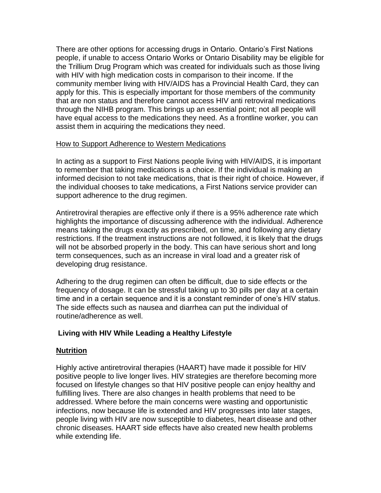There are other options for accessing drugs in Ontario. Ontario's First Nations people, if unable to access Ontario Works or Ontario Disability may be eligible for the Trillium Drug Program which was created for individuals such as those living with HIV with high medication costs in comparison to their income. If the community member living with HIV/AIDS has a Provincial Health Card, they can apply for this. This is especially important for those members of the community that are non status and therefore cannot access HIV anti retroviral medications through the NIHB program. This brings up an essential point; not all people will have equal access to the medications they need. As a frontline worker, you can assist them in acquiring the medications they need.

## How to Support Adherence to Western Medications

In acting as a support to First Nations people living with HIV/AIDS, it is important to remember that taking medications is a choice. If the individual is making an informed decision to not take medications, that is their right of choice. However, if the individual chooses to take medications, a First Nations service provider can support adherence to the drug regimen.

Antiretroviral therapies are effective only if there is a 95% adherence rate which highlights the importance of discussing adherence with the individual. Adherence means taking the drugs exactly as prescribed, on time, and following any dietary restrictions. If the treatment instructions are not followed, it is likely that the drugs will not be absorbed properly in the body. This can have serious short and long term consequences, such as an increase in viral load and a greater risk of developing drug resistance.

Adhering to the drug regimen can often be difficult, due to side effects or the frequency of dosage. It can be stressful taking up to 30 pills per day at a certain time and in a certain sequence and it is a constant reminder of one's HIV status. The side effects such as nausea and diarrhea can put the individual of routine/adherence as well.

# **Living with HIV While Leading a Healthy Lifestyle**

## **Nutrition**

Highly active antiretroviral therapies (HAART) have made it possible for HIV positive people to live longer lives. HIV strategies are therefore becoming more focused on lifestyle changes so that HIV positive people can enjoy healthy and fulfilling lives. There are also changes in health problems that need to be addressed. Where before the main concerns were wasting and opportunistic infections, now because life is extended and HIV progresses into later stages, people living with HIV are now susceptible to diabetes, heart disease and other chronic diseases. HAART side effects have also created new health problems while extending life.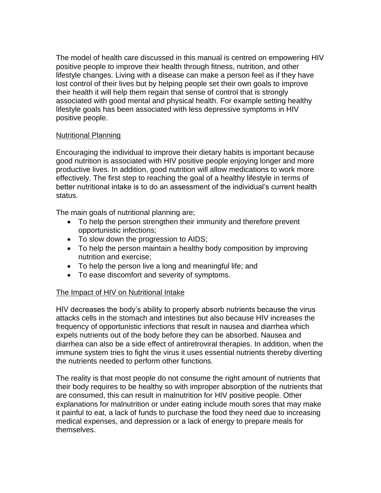The model of health care discussed in this manual is centred on empowering HIV positive people to improve their health through fitness, nutrition, and other lifestyle changes. Living with a disease can make a person feel as if they have lost control of their lives but by helping people set their own goals to improve their health it will help them regain that sense of control that is strongly associated with good mental and physical health. For example setting healthy lifestyle goals has been associated with less depressive symptoms in HIV positive people.

## Nutritional Planning

Encouraging the individual to improve their dietary habits is important because good nutrition is associated with HIV positive people enjoying longer and more productive lives. In addition, good nutrition will allow medications to work more effectively. The first step to reaching the goal of a healthy lifestyle in terms of better nutritional intake is to do an assessment of the individual's current health status.

The main goals of nutritional planning are;

- To help the person strengthen their immunity and therefore prevent opportunistic infections;
- To slow down the progression to AIDS;
- To help the person maintain a healthy body composition by improving nutrition and exercise;
- To help the person live a long and meaningful life; and
- To ease discomfort and severity of symptoms.

# The Impact of HIV on Nutritional Intake

HIV decreases the body's ability to properly absorb nutrients because the virus attacks cells in the stomach and intestines but also because HIV increases the frequency of opportunistic infections that result in nausea and diarrhea which expels nutrients out of the body before they can be absorbed. Nausea and diarrhea can also be a side effect of antiretroviral therapies. In addition, when the immune system tries to fight the virus it uses essential nutrients thereby diverting the nutrients needed to perform other functions.

The reality is that most people do not consume the right amount of nutrients that their body requires to be healthy so with improper absorption of the nutrients that are consumed, this can result in malnutrition for HIV positive people. Other explanations for malnutrition or under eating include mouth sores that may make it painful to eat, a lack of funds to purchase the food they need due to increasing medical expenses, and depression or a lack of energy to prepare meals for themselves.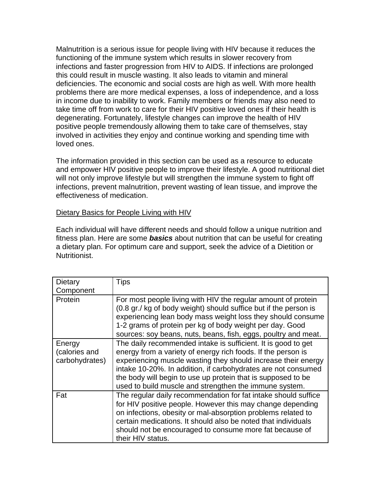Malnutrition is a serious issue for people living with HIV because it reduces the functioning of the immune system which results in slower recovery from infections and faster progression from HIV to AIDS. If infections are prolonged this could result in muscle wasting. It also leads to vitamin and mineral deficiencies. The economic and social costs are high as well. With more health problems there are more medical expenses, a loss of independence, and a loss in income due to inability to work. Family members or friends may also need to take time off from work to care for their HIV positive loved ones if their health is degenerating. Fortunately, lifestyle changes can improve the health of HIV positive people tremendously allowing them to take care of themselves, stay involved in activities they enjoy and continue working and spending time with loved ones.

The information provided in this section can be used as a resource to educate and empower HIV positive people to improve their lifestyle. A good nutritional diet will not only improve lifestyle but will strengthen the immune system to fight off infections, prevent malnutrition, prevent wasting of lean tissue, and improve the effectiveness of medication.

## Dietary Basics for People Living with HIV

Each individual will have different needs and should follow a unique nutrition and fitness plan. Here are some *basics* about nutrition that can be useful for creating a dietary plan. For optimum care and support, seek the advice of a Dietition or Nutritionist.

| Dietary                                   | Tips                                                                                                                                                                                                                                                                                                                                                                                      |
|-------------------------------------------|-------------------------------------------------------------------------------------------------------------------------------------------------------------------------------------------------------------------------------------------------------------------------------------------------------------------------------------------------------------------------------------------|
| Component                                 |                                                                                                                                                                                                                                                                                                                                                                                           |
| Protein                                   | For most people living with HIV the regular amount of protein<br>(0.8 gr./ kg of body weight) should suffice but if the person is<br>experiencing lean body mass weight loss they should consume<br>1-2 grams of protein per kg of body weight per day. Good<br>sources: soy beans, nuts, beans, fish, eggs, poultry and meat.                                                            |
| Energy<br>(calories and<br>carbohydrates) | The daily recommended intake is sufficient. It is good to get<br>energy from a variety of energy rich foods. If the person is<br>experiencing muscle wasting they should increase their energy<br>intake 10-20%. In addition, if carbohydrates are not consumed<br>the body will begin to use up protein that is supposed to be<br>used to build muscle and strengthen the immune system. |
| Fat                                       | The regular daily recommendation for fat intake should suffice<br>for HIV positive people. However this may change depending<br>on infections, obesity or mal-absorption problems related to<br>certain medications. It should also be noted that individuals<br>should not be encouraged to consume more fat because of<br>their HIV status.                                             |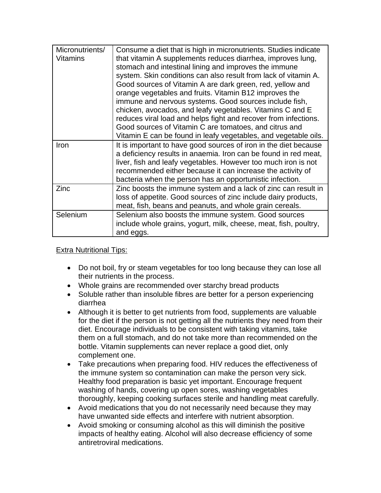| Micronutrients/<br><b>Vitamins</b> | Consume a diet that is high in micronutrients. Studies indicate<br>that vitamin A supplements reduces diarrhea, improves lung,<br>stomach and intestinal lining and improves the immune<br>system. Skin conditions can also result from lack of vitamin A.<br>Good sources of Vitamin A are dark green, red, yellow and<br>orange vegetables and fruits. Vitamin B12 improves the<br>immune and nervous systems. Good sources include fish,<br>chicken, avocados, and leafy vegetables. Vitamins C and E<br>reduces viral load and helps fight and recover from infections.<br>Good sources of Vitamin C are tomatoes, and citrus and<br>Vitamin E can be found in leafy vegetables, and vegetable oils. |
|------------------------------------|----------------------------------------------------------------------------------------------------------------------------------------------------------------------------------------------------------------------------------------------------------------------------------------------------------------------------------------------------------------------------------------------------------------------------------------------------------------------------------------------------------------------------------------------------------------------------------------------------------------------------------------------------------------------------------------------------------|
| Iron                               | It is important to have good sources of iron in the diet because<br>a deficiency results in anaemia. Iron can be found in red meat,<br>liver, fish and leafy vegetables. However too much iron is not<br>recommended either because it can increase the activity of<br>bacteria when the person has an opportunistic infection.                                                                                                                                                                                                                                                                                                                                                                          |
| Zinc                               | Zinc boosts the immune system and a lack of zinc can result in<br>loss of appetite. Good sources of zinc include dairy products,<br>meat, fish, beans and peanuts, and whole grain cereals.                                                                                                                                                                                                                                                                                                                                                                                                                                                                                                              |
| Selenium                           | Selenium also boosts the immune system. Good sources<br>include whole grains, yogurt, milk, cheese, meat, fish, poultry,<br>and eggs.                                                                                                                                                                                                                                                                                                                                                                                                                                                                                                                                                                    |

Extra Nutritional Tips:

- Do not boil, fry or steam vegetables for too long because they can lose all their nutrients in the process.
- Whole grains are recommended over starchy bread products
- Soluble rather than insoluble fibres are better for a person experiencing diarrhea
- Although it is better to get nutrients from food, supplements are valuable for the diet if the person is not getting all the nutrients they need from their diet. Encourage individuals to be consistent with taking vitamins, take them on a full stomach, and do not take more than recommended on the bottle. Vitamin supplements can never replace a good diet, only complement one.
- Take precautions when preparing food. HIV reduces the effectiveness of the immune system so contamination can make the person very sick. Healthy food preparation is basic yet important. Encourage frequent washing of hands, covering up open sores, washing vegetables thoroughly, keeping cooking surfaces sterile and handling meat carefully.
- Avoid medications that you do not necessarily need because they may have unwanted side effects and interfere with nutrient absorption.
- Avoid smoking or consuming alcohol as this will diminish the positive impacts of healthy eating. Alcohol will also decrease efficiency of some antiretroviral medications.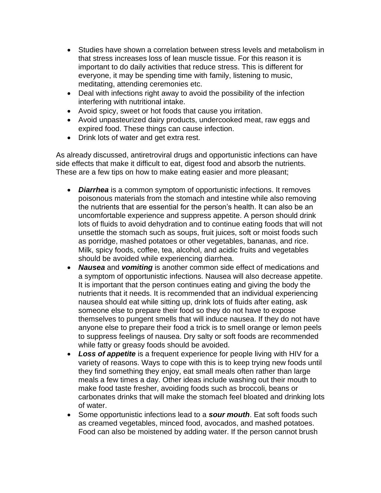- Studies have shown a correlation between stress levels and metabolism in that stress increases loss of lean muscle tissue. For this reason it is important to do daily activities that reduce stress. This is different for everyone, it may be spending time with family, listening to music, meditating, attending ceremonies etc.
- Deal with infections right away to avoid the possibility of the infection interfering with nutritional intake.
- Avoid spicy, sweet or hot foods that cause you irritation.
- Avoid unpasteurized dairy products, undercooked meat, raw eggs and expired food. These things can cause infection.
- Drink lots of water and get extra rest.

As already discussed, antiretroviral drugs and opportunistic infections can have side effects that make it difficult to eat, digest food and absorb the nutrients. These are a few tips on how to make eating easier and more pleasant;

- *Diarrhea* is a common symptom of opportunistic infections. It removes poisonous materials from the stomach and intestine while also removing the nutrients that are essential for the person's health. It can also be an uncomfortable experience and suppress appetite. A person should drink lots of fluids to avoid dehydration and to continue eating foods that will not unsettle the stomach such as soups, fruit juices, soft or moist foods such as porridge, mashed potatoes or other vegetables, bananas, and rice. Milk, spicy foods, coffee, tea, alcohol, and acidic fruits and vegetables should be avoided while experiencing diarrhea.
- *Nausea* and *vomiting* is another common side effect of medications and a symptom of opportunistic infections. Nausea will also decrease appetite. It is important that the person continues eating and giving the body the nutrients that it needs. It is recommended that an individual experiencing nausea should eat while sitting up, drink lots of fluids after eating, ask someone else to prepare their food so they do not have to expose themselves to pungent smells that will induce nausea. If they do not have anyone else to prepare their food a trick is to smell orange or lemon peels to suppress feelings of nausea. Dry salty or soft foods are recommended while fatty or greasy foods should be avoided.
- *Loss of appetite* is a frequent experience for people living with HIV for a variety of reasons. Ways to cope with this is to keep trying new foods until they find something they enjoy, eat small meals often rather than large meals a few times a day. Other ideas include washing out their mouth to make food taste fresher, avoiding foods such as broccoli, beans or carbonates drinks that will make the stomach feel bloated and drinking lots of water.
- Some opportunistic infections lead to a *sour mouth*. Eat soft foods such as creamed vegetables, minced food, avocados, and mashed potatoes. Food can also be moistened by adding water. If the person cannot brush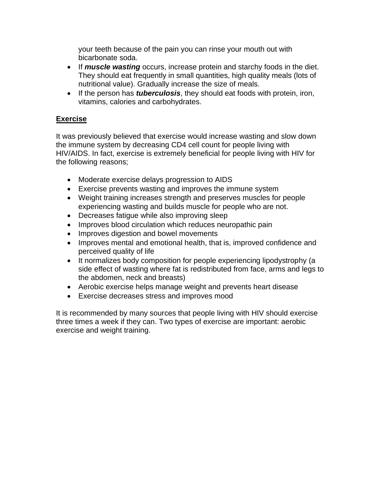your teeth because of the pain you can rinse your mouth out with bicarbonate soda.

- If *muscle wasting* occurs, increase protein and starchy foods in the diet. They should eat frequently in small quantities, high quality meals (lots of nutritional value). Gradually increase the size of meals.
- If the person has *tuberculosis*, they should eat foods with protein, iron, vitamins, calories and carbohydrates.

# **Exercise**

It was previously believed that exercise would increase wasting and slow down the immune system by decreasing CD4 cell count for people living with HIV/AIDS. In fact, exercise is extremely beneficial for people living with HIV for the following reasons;

- Moderate exercise delays progression to AIDS
- Exercise prevents wasting and improves the immune system
- Weight training increases strength and preserves muscles for people experiencing wasting and builds muscle for people who are not.
- Decreases fatigue while also improving sleep
- Improves blood circulation which reduces neuropathic pain
- Improves digestion and bowel movements
- Improves mental and emotional health, that is, improved confidence and perceived quality of life
- It normalizes body composition for people experiencing lipodystrophy (a side effect of wasting where fat is redistributed from face, arms and legs to the abdomen, neck and breasts)
- Aerobic exercise helps manage weight and prevents heart disease
- Exercise decreases stress and improves mood

It is recommended by many sources that people living with HIV should exercise three times a week if they can. Two types of exercise are important: aerobic exercise and weight training.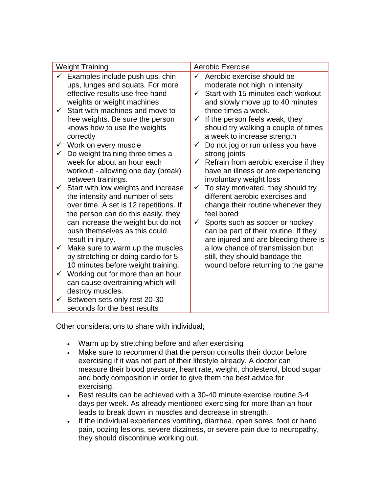# Other considerations to share with individual;

- Warm up by stretching before and after exercising
- Make sure to recommend that the person consults their doctor before exercising if it was not part of their lifestyle already. A doctor can measure their blood pressure, heart rate, weight, cholesterol, blood sugar and body composition in order to give them the best advice for exercising.
- Best results can be achieved with a 30-40 minute exercise routine 3-4 days per week. As already mentioned exercising for more than an hour leads to break down in muscles and decrease in strength.
- If the individual experiences vomiting, diarrhea, open sores, foot or hand pain, oozing lesions, severe dizziness, or severe pain due to neuropathy, they should discontinue working out.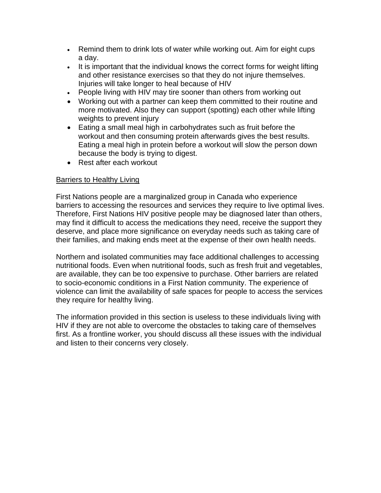- Remind them to drink lots of water while working out. Aim for eight cups a day.
- It is important that the individual knows the correct forms for weight lifting and other resistance exercises so that they do not injure themselves. Injuries will take longer to heal because of HIV
- People living with HIV may tire sooner than others from working out
- Working out with a partner can keep them committed to their routine and more motivated. Also they can support (spotting) each other while lifting weights to prevent injury
- Eating a small meal high in carbohydrates such as fruit before the workout and then consuming protein afterwards gives the best results. Eating a meal high in protein before a workout will slow the person down because the body is trying to digest.
- Rest after each workout

## Barriers to Healthy Living

First Nations people are a marginalized group in Canada who experience barriers to accessing the resources and services they require to live optimal lives. Therefore, First Nations HIV positive people may be diagnosed later than others, may find it difficult to access the medications they need, receive the support they deserve, and place more significance on everyday needs such as taking care of their families, and making ends meet at the expense of their own health needs.

Northern and isolated communities may face additional challenges to accessing nutritional foods. Even when nutritional foods, such as fresh fruit and vegetables, are available, they can be too expensive to purchase. Other barriers are related to socio-economic conditions in a First Nation community. The experience of violence can limit the availability of safe spaces for people to access the services they require for healthy living.

The information provided in this section is useless to these individuals living with HIV if they are not able to overcome the obstacles to taking care of themselves first. As a frontline worker, you should discuss all these issues with the individual and listen to their concerns very closely.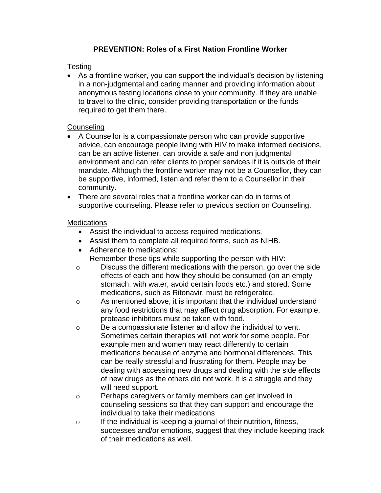# **PREVENTION: Roles of a First Nation Frontline Worker**

## Testing

• As a frontline worker, you can support the individual's decision by listening in a non-judgmental and caring manner and providing information about anonymous testing locations close to your community. If they are unable to travel to the clinic, consider providing transportation or the funds required to get them there.

## **Counseling**

- A Counsellor is a compassionate person who can provide supportive advice, can encourage people living with HIV to make informed decisions, can be an active listener, can provide a safe and non judgmental environment and can refer clients to proper services if it is outside of their mandate. Although the frontline worker may not be a Counsellor, they can be supportive, informed, listen and refer them to a Counsellor in their community.
- There are several roles that a frontline worker can do in terms of supportive counseling. Please refer to previous section on Counseling.

## **Medications**

- Assist the individual to access required medications.
- Assist them to complete all required forms, such as NIHB.
- Adherence to medications: Remember these tips while supporting the person with HIV:
- o Discuss the different medications with the person, go over the side effects of each and how they should be consumed (on an empty stomach, with water, avoid certain foods etc.) and stored. Some medications, such as Ritonavir, must be refrigerated.
- o As mentioned above, it is important that the individual understand any food restrictions that may affect drug absorption. For example, protease inhibitors must be taken with food.
- o Be a compassionate listener and allow the individual to vent. Sometimes certain therapies will not work for some people. For example men and women may react differently to certain medications because of enzyme and hormonal differences. This can be really stressful and frustrating for them. People may be dealing with accessing new drugs and dealing with the side effects of new drugs as the others did not work. It is a struggle and they will need support.
- o Perhaps caregivers or family members can get involved in counseling sessions so that they can support and encourage the individual to take their medications
- o If the individual is keeping a journal of their nutrition, fitness, successes and/or emotions, suggest that they include keeping track of their medications as well.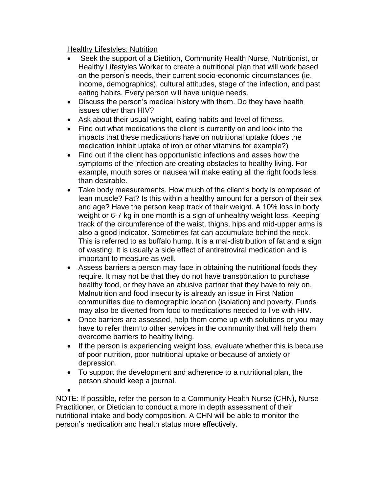Healthy Lifestyles: Nutrition

- Seek the support of a Dietition, Community Health Nurse, Nutritionist, or Healthy Lifestyles Worker to create a nutritional plan that will work based on the person's needs, their current socio-economic circumstances (ie. income, demographics), cultural attitudes, stage of the infection, and past eating habits. Every person will have unique needs.
- Discuss the person's medical history with them. Do they have health issues other than HIV?
- Ask about their usual weight, eating habits and level of fitness.
- Find out what medications the client is currently on and look into the impacts that these medications have on nutritional uptake (does the medication inhibit uptake of iron or other vitamins for example?)
- Find out if the client has opportunistic infections and asses how the symptoms of the infection are creating obstacles to healthy living. For example, mouth sores or nausea will make eating all the right foods less than desirable.
- Take body measurements. How much of the client's body is composed of lean muscle? Fat? Is this within a healthy amount for a person of their sex and age? Have the person keep track of their weight. A 10% loss in body weight or 6-7 kg in one month is a sign of unhealthy weight loss. Keeping track of the circumference of the waist, thighs, hips and mid-upper arms is also a good indicator. Sometimes fat can accumulate behind the neck. This is referred to as buffalo hump. It is a mal-distribution of fat and a sign of wasting. It is usually a side effect of antiretroviral medication and is important to measure as well.
- Assess barriers a person may face in obtaining the nutritional foods they require. It may not be that they do not have transportation to purchase healthy food, or they have an abusive partner that they have to rely on. Malnutrition and food insecurity is already an issue in First Nation communities due to demographic location (isolation) and poverty. Funds may also be diverted from food to medications needed to live with HIV.
- Once barriers are assessed, help them come up with solutions or you may have to refer them to other services in the community that will help them overcome barriers to healthy living.
- If the person is experiencing weight loss, evaluate whether this is because of poor nutrition, poor nutritional uptake or because of anxiety or depression.
- To support the development and adherence to a nutritional plan, the person should keep a journal.

• NOTE: If possible, refer the person to a Community Health Nurse (CHN), Nurse Practitioner, or Dietician to conduct a more in depth assessment of their nutritional intake and body composition. A CHN will be able to monitor the person's medication and health status more effectively.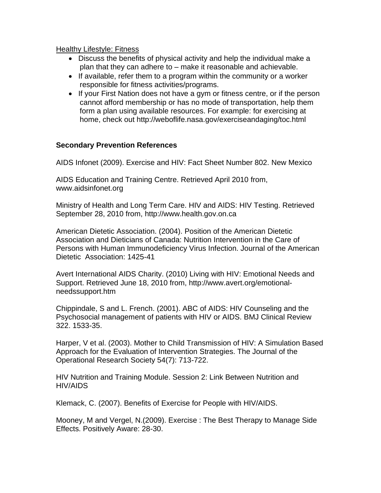#### Healthy Lifestyle: Fitness

- Discuss the benefits of physical activity and help the individual make a plan that they can adhere to – make it reasonable and achievable.
- If available, refer them to a program within the community or a worker responsible for fitness activities/programs.
- If your First Nation does not have a gym or fitness centre, or if the person cannot afford membership or has no mode of transportation, help them form a plan using available resources. For example: for exercising at home, check out http://weboflife.nasa.gov/exerciseandaging/toc.html

## **Secondary Prevention References**

AIDS Infonet (2009). Exercise and HIV: Fact Sheet Number 802. New Mexico

AIDS Education and Training Centre. Retrieved April 2010 from, www.aidsinfonet.org

Ministry of Health and Long Term Care. HIV and AIDS: HIV Testing. Retrieved September 28, 2010 from, http://www.health.gov.on.ca

American Dietetic Association. (2004). Position of the American Dietetic Association and Dieticians of Canada: Nutrition Intervention in the Care of Persons with Human Immunodeficiency Virus Infection. Journal of the American Dietetic Association: 1425-41

Avert International AIDS Charity. (2010) Living with HIV: Emotional Needs and Support. Retrieved June 18, 2010 from, http://www.avert.org/emotionalneedssupport.htm

Chippindale, S and L. French. (2001). ABC of AIDS: HIV Counseling and the Psychosocial management of patients with HIV or AIDS. BMJ Clinical Review 322. 1533-35.

Harper, V et al. (2003). Mother to Child Transmission of HIV: A Simulation Based Approach for the Evaluation of Intervention Strategies. The Journal of the Operational Research Society 54(7): 713-722.

HIV Nutrition and Training Module. Session 2: Link Between Nutrition and HIV/AIDS

Klemack, C. (2007). Benefits of Exercise for People with HIV/AIDS.

Mooney, M and Vergel, N.(2009). Exercise : The Best Therapy to Manage Side Effects. Positively Aware: 28-30.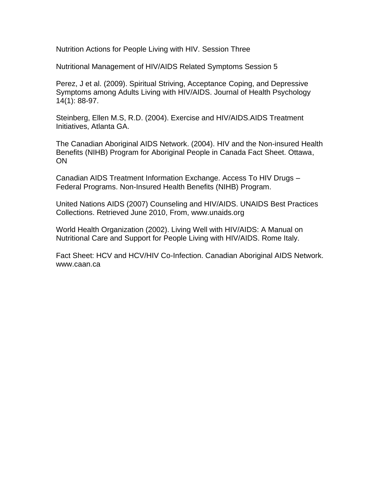Nutrition Actions for People Living with HIV. Session Three

Nutritional Management of HIV/AIDS Related Symptoms Session 5

Perez, J et al. (2009). Spiritual Striving, Acceptance Coping, and Depressive Symptoms among Adults Living with HIV/AIDS. Journal of Health Psychology 14(1): 88-97.

Steinberg, Ellen M.S, R.D. (2004). Exercise and HIV/AIDS.AIDS Treatment Initiatives, Atlanta GA.

The Canadian Aboriginal AIDS Network. (2004). HIV and the Non-insured Health Benefits (NIHB) Program for Aboriginal People in Canada Fact Sheet. Ottawa, **ON** 

Canadian AIDS Treatment Information Exchange. Access To HIV Drugs – Federal Programs. Non-Insured Health Benefits (NIHB) Program.

United Nations AIDS (2007) Counseling and HIV/AIDS. UNAIDS Best Practices Collections. Retrieved June 2010, From, www.unaids.org

World Health Organization (2002). Living Well with HIV/AIDS: A Manual on Nutritional Care and Support for People Living with HIV/AIDS. Rome Italy.

Fact Sheet: HCV and HCV/HIV Co-Infection. Canadian Aboriginal AIDS Network. www.caan.ca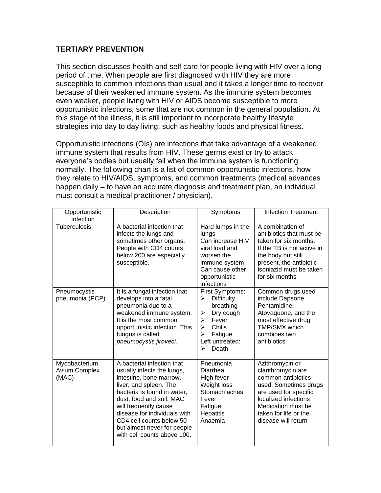# **TERTIARY PREVENTION**

This section discusses health and self care for people living with HIV over a long period of time. When people are first diagnosed with HIV they are more susceptible to common infections than usual and it takes a longer time to recover because of their weakened immune system. As the immune system becomes even weaker, people living with HIV or AIDS become susceptible to more opportunistic infections, some that are not common in the general population. At this stage of the illness, it is still important to incorporate healthy lifestyle strategies into day to day living, such as healthy foods and physical fitness.

Opportunistic infections (OIs) are infections that take advantage of a weakened immune system that results from HIV. These germs exist or try to attack everyone's bodies but usually fail when the immune system is functioning normally. The following chart is a list of common opportunistic infections, how they relate to HIV/AIDS, symptoms, and common treatments (medical advances happen daily – to have an accurate diagnosis and treatment plan, an individual must consult a medical practitioner / physician).

| Opportunistic<br>Infection                     | Description                                                                                                                                                                                                                                                                                                                 | Symptoms                                                                                                                                                                   | <b>Infection Treatment</b>                                                                                                                                                                                   |
|------------------------------------------------|-----------------------------------------------------------------------------------------------------------------------------------------------------------------------------------------------------------------------------------------------------------------------------------------------------------------------------|----------------------------------------------------------------------------------------------------------------------------------------------------------------------------|--------------------------------------------------------------------------------------------------------------------------------------------------------------------------------------------------------------|
| <b>Tuberculosis</b>                            | A bacterial infection that<br>infects the lungs and<br>sometimes other organs.<br>People with CD4 counts<br>below 200 are especially<br>susceptible.                                                                                                                                                                        | Hard lumps in the<br>lungs<br>Can increase HIV<br>viral load and<br>worsen the<br>immune system<br>Can cause other<br>opportunistic<br>infections                          | A combination of<br>antibiotics that must be<br>taken for six months.<br>If the TB is not active in<br>the body but still<br>present, the antibiotic<br>isoniazid must be taken<br>for six months            |
| Pneumocystis<br>pneumonia (PCP)                | It is a fungal infection that<br>develops into a fatal<br>pneumonia due to a<br>weakened immune system.<br>It is the most common<br>opportunistic infection. This<br>fungus is called<br>pneumocystis jiroveci.                                                                                                             | First Symptoms:<br><b>Difficulty</b><br>≻<br>breathing<br>Dry cough<br>➤<br>Fever<br>$\blacktriangleright$<br>Chills<br>⋗<br>Fatigue<br>≻<br>Left untreated:<br>Death<br>↘ | Common drugs used<br>include Dapsone,<br>Pentamidine,<br>Atovaquone, and the<br>most effective drug<br>TMP/SMX which<br>combines two<br>antibiotics.                                                         |
| Mycobacterium<br><b>Avium Complex</b><br>(MAC) | A bacterial infection that<br>usually infects the lungs,<br>intestine, bone marrow,<br>liver, and spleen. The<br>bacteria is found in water,<br>dust, food and soil. MAC<br>will frequently cause<br>disease for individuals with<br>CD4 cell counts below 50<br>but almost never for people<br>with cell counts above 100. | Pneumonia<br>Diarrhea<br>High fever<br>Weight loss<br>Stomach aches<br>Fever<br>Fatigue<br><b>Hepatitis</b><br>Anaemia                                                     | Azithromycin or<br>clarithromycin are<br>common antibiotics<br>used. Sometimes drugs<br>are used for specific<br>localized infections<br>Medication must be<br>taken for life or the<br>disease will return. |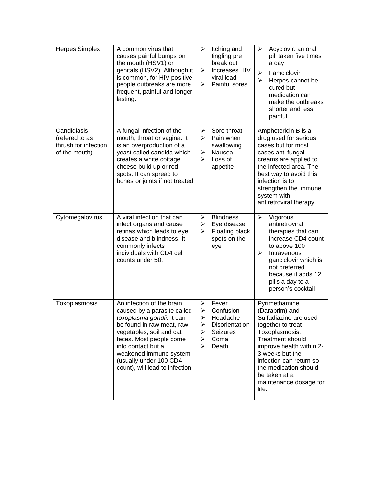| <b>Herpes Simplex</b>                                                  | A common virus that<br>causes painful bumps on<br>the mouth (HSV1) or<br>genitals (HSV2). Although it<br>is common, for HIV positive<br>people outbreaks are more<br>frequent, painful and longer<br>lasting.                                                                         | ➤<br>≻<br>⋗                          | Itching and<br>tingling pre<br>break out<br>Increases HIV<br>viral load<br>Painful sores | Acyclovir: an oral<br>➤<br>pill taken five times<br>a day<br>Famciclovir<br>$\blacktriangleright$<br>$\blacktriangleright$<br>Herpes cannot be<br>cured but<br>medication can<br>make the outbreaks<br>shorter and less<br>painful.                                               |
|------------------------------------------------------------------------|---------------------------------------------------------------------------------------------------------------------------------------------------------------------------------------------------------------------------------------------------------------------------------------|--------------------------------------|------------------------------------------------------------------------------------------|-----------------------------------------------------------------------------------------------------------------------------------------------------------------------------------------------------------------------------------------------------------------------------------|
| Candidiasis<br>(refered to as<br>thrush for infection<br>of the mouth) | A fungal infection of the<br>mouth, throat or vagina. It<br>is an overproduction of a<br>yeast called candida which<br>creates a white cottage<br>cheese build up or red<br>spots. It can spread to<br>bones or joints if not treated                                                 | $\blacktriangleright$<br>⋗<br>➤<br>➤ | Sore throat<br>Pain when<br>swallowing<br>Nausea<br>Loss of<br>appetite                  | Amphotericin B is a<br>drug used for serious<br>cases but for most<br>cases anti fungal<br>creams are applied to<br>the infected area. The<br>best way to avoid this<br>infection is to<br>strengthen the immune<br>system with<br>antiretroviral therapy.                        |
| Cytomegalovirus                                                        | A viral infection that can<br>infect organs and cause<br>retinas which leads to eye<br>disease and blindness. It<br>commonly infects<br>individuals with CD4 cell<br>counts under 50.                                                                                                 | $\blacktriangleright$<br>➤<br>➤      | <b>Blindness</b><br>Eye disease<br>Floating black<br>spots on the<br>eye                 | Vigorous<br>$\blacktriangleright$<br>antiretroviral<br>therapies that can<br>increase CD4 count<br>to above 100<br>Intravenous<br>➤<br>ganciclovir which is<br>not preferred<br>because it adds 12<br>pills a day to a<br>person's cocktail                                       |
| Toxoplasmosis                                                          | An infection of the brain<br>caused by a parasite called<br>toxoplasma gondii. It can<br>be found in raw meat, raw<br>vegetables, soil and cat<br>feces. Most people come<br>into contact but a<br>weakened immune system<br>(usually under 100 CD4<br>count), will lead to infection | ≻<br>➤<br>➤<br>➤<br>➤<br>⋗<br>≻      | Fever<br>Confusion<br>Headache<br>Disorientation<br>Seizures<br>Coma<br>Death            | Pyrimethamine<br>(Daraprim) and<br>Sulfadiazine are used<br>together to treat<br>Toxoplasmosis.<br><b>Treatment should</b><br>improve health within 2-<br>3 weeks but the<br>infection can return so<br>the medication should<br>be taken at a<br>maintenance dosage for<br>life. |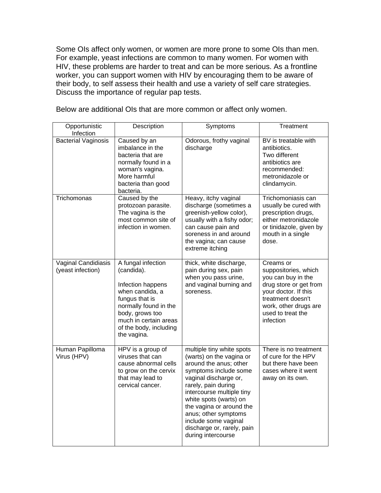Some OIs affect only women, or women are more prone to some OIs than men. For example, yeast infections are common to many women. For women with HIV, these problems are harder to treat and can be more serious. As a frontline worker, you can support women with HIV by encouraging them to be aware of their body, to self assess their health and use a variety of self care strategies. Discuss the importance of regular pap tests.

| Opportunistic<br>Infection               | Description                                                                                                                                                                                              | Symptoms                                                                                                                                                                                                                                                                                                                                        | Treatment                                                                                                                                                                                 |
|------------------------------------------|----------------------------------------------------------------------------------------------------------------------------------------------------------------------------------------------------------|-------------------------------------------------------------------------------------------------------------------------------------------------------------------------------------------------------------------------------------------------------------------------------------------------------------------------------------------------|-------------------------------------------------------------------------------------------------------------------------------------------------------------------------------------------|
| <b>Bacterial Vaginosis</b>               | Caused by an<br>imbalance in the<br>bacteria that are<br>normally found in a<br>woman's vagina.<br>More harmful<br>bacteria than good<br>bacteria.                                                       | Odorous, frothy vaginal<br>discharge                                                                                                                                                                                                                                                                                                            | BV is treatable with<br>antibiotics.<br>Two different<br>antibiotics are<br>recommended:<br>metronidazole or<br>clindamycin.                                                              |
| Trichomonas                              | Caused by the<br>protozoan parasite.<br>The vagina is the<br>most common site of<br>infection in women.                                                                                                  | Heavy, itchy vaginal<br>discharge (sometimes a<br>greenish-yellow color),<br>usually with a fishy odor;<br>can cause pain and<br>soreness in and around<br>the vagina; can cause<br>extreme itching                                                                                                                                             | Trichomoniasis can<br>usually be cured with<br>prescription drugs,<br>either metronidazole<br>or tinidazole, given by<br>mouth in a single<br>dose.                                       |
| Vaginal Candidiasis<br>(yeast infection) | A fungal infection<br>(candida).<br>Infection happens<br>when candida, a<br>fungus that is<br>normally found in the<br>body, grows too<br>much in certain areas<br>of the body, including<br>the vagina. | thick, white discharge,<br>pain during sex, pain<br>when you pass urine,<br>and vaginal burning and<br>soreness.                                                                                                                                                                                                                                | Creams or<br>suppositories, which<br>you can buy in the<br>drug store or get from<br>your doctor. If this<br>treatment doesn't<br>work, other drugs are<br>used to treat the<br>infection |
| Human Papilloma<br>Virus (HPV)           | HPV is a group of<br>viruses that can<br>cause abnormal cells<br>to grow on the cervix<br>that may lead to<br>cervical cancer.                                                                           | multiple tiny white spots<br>(warts) on the vagina or<br>around the anus; other<br>symptoms include some<br>vaginal discharge or,<br>rarely, pain during<br>intercourse multiple tiny<br>white spots (warts) on<br>the vagina or around the<br>anus; other symptoms<br>include some vaginal<br>discharge or, rarely, pain<br>during intercourse | There is no treatment<br>of cure for the HPV<br>but there have been<br>cases where it went<br>away on its own.                                                                            |

Below are additional OIs that are more common or affect only women.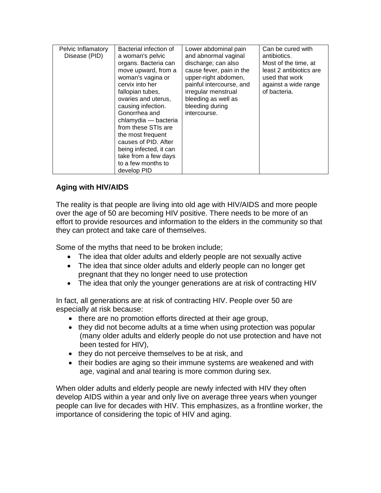| Pelvic Inflamatory<br>Disease (PID) | Bacterial infection of<br>a woman's pelvic<br>organs. Bacteria can<br>move upward, from a<br>woman's vagina or<br>cervix into her<br>fallopian tubes,<br>ovaries and uterus,<br>causing infection.<br>Gonorrhea and<br>chlamydia - bacteria<br>from these STIs are<br>the most frequent<br>causes of PID. After<br>being infected, it can<br>take from a few days<br>to a few months to<br>develop PID | Lower abdominal pain<br>and abnormal vaginal<br>discharge; can also<br>cause fever, pain in the<br>upper-right abdomen,<br>painful intercourse, and<br>irregular menstrual<br>bleeding as well as<br>bleeding during<br>intercourse. | Can be cured with<br>antibiotics.<br>Most of the time, at<br>least 2 antibiotics are<br>used that work<br>against a wide range<br>of bacteria. |
|-------------------------------------|--------------------------------------------------------------------------------------------------------------------------------------------------------------------------------------------------------------------------------------------------------------------------------------------------------------------------------------------------------------------------------------------------------|--------------------------------------------------------------------------------------------------------------------------------------------------------------------------------------------------------------------------------------|------------------------------------------------------------------------------------------------------------------------------------------------|
|-------------------------------------|--------------------------------------------------------------------------------------------------------------------------------------------------------------------------------------------------------------------------------------------------------------------------------------------------------------------------------------------------------------------------------------------------------|--------------------------------------------------------------------------------------------------------------------------------------------------------------------------------------------------------------------------------------|------------------------------------------------------------------------------------------------------------------------------------------------|

# **Aging with HIV/AIDS**

The reality is that people are living into old age with HIV/AIDS and more people over the age of 50 are becoming HIV positive. There needs to be more of an effort to provide resources and information to the elders in the community so that they can protect and take care of themselves.

Some of the myths that need to be broken include;

- The idea that older adults and elderly people are not sexually active
- The idea that since older adults and elderly people can no longer get pregnant that they no longer need to use protection
- The idea that only the younger generations are at risk of contracting HIV

In fact, all generations are at risk of contracting HIV. People over 50 are especially at risk because:

- there are no promotion efforts directed at their age group,
- they did not become adults at a time when using protection was popular (many older adults and elderly people do not use protection and have not been tested for HIV),
- they do not perceive themselves to be at risk, and
- their bodies are aging so their immune systems are weakened and with age, vaginal and anal tearing is more common during sex.

When older adults and elderly people are newly infected with HIV they often develop AIDS within a year and only live on average three years when younger people can live for decades with HIV. This emphasizes, as a frontline worker, the importance of considering the topic of HIV and aging.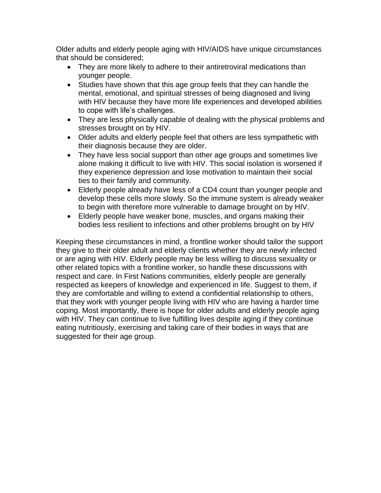Older adults and elderly people aging with HIV/AIDS have unique circumstances that should be considered;

- They are more likely to adhere to their antiretroviral medications than younger people.
- Studies have shown that this age group feels that they can handle the mental, emotional, and spiritual stresses of being diagnosed and living with HIV because they have more life experiences and developed abilities to cope with life's challenges.
- They are less physically capable of dealing with the physical problems and stresses brought on by HIV.
- Older adults and elderly people feel that others are less sympathetic with their diagnosis because they are older.
- They have less social support than other age groups and sometimes live alone making it difficult to live with HIV. This social isolation is worsened if they experience depression and lose motivation to maintain their social ties to their family and community.
- Elderly people already have less of a CD4 count than younger people and develop these cells more slowly. So the immune system is already weaker to begin with therefore more vulnerable to damage brought on by HIV.
- Elderly people have weaker bone, muscles, and organs making their bodies less resilient to infections and other problems brought on by HIV

Keeping these circumstances in mind, a frontline worker should tailor the support they give to their older adult and elderly clients whether they are newly infected or are aging with HIV. Elderly people may be less willing to discuss sexuality or other related topics with a frontline worker, so handle these discussions with respect and care. In First Nations communities, elderly people are generally respected as keepers of knowledge and experienced in life. Suggest to them, if they are comfortable and willing to extend a confidential relationship to others, that they work with younger people living with HIV who are having a harder time coping. Most importantly, there is hope for older adults and elderly people aging with HIV. They can continue to live fulfilling lives despite aging if they continue eating nutritiously, exercising and taking care of their bodies in ways that are suggested for their age group.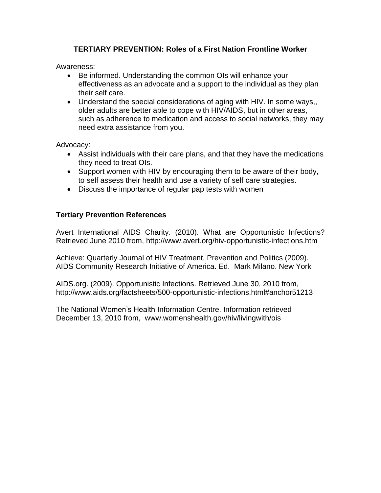# **TERTIARY PREVENTION: Roles of a First Nation Frontline Worker**

Awareness:

- Be informed. Understanding the common OIs will enhance your effectiveness as an advocate and a support to the individual as they plan their self care.
- Understand the special considerations of aging with HIV. In some ways,, older adults are better able to cope with HIV/AIDS, but in other areas, such as adherence to medication and access to social networks, they may need extra assistance from you.

Advocacy:

- Assist individuals with their care plans, and that they have the medications they need to treat OIs.
- Support women with HIV by encouraging them to be aware of their body, to self assess their health and use a variety of self care strategies.
- Discuss the importance of regular pap tests with women

## **Tertiary Prevention References**

Avert International AIDS Charity. (2010). What are Opportunistic Infections? Retrieved June 2010 from, http://www.avert.org/hiv-opportunistic-infections.htm

Achieve: Quarterly Journal of HIV Treatment, Prevention and Politics (2009). AIDS Community Research Initiative of America. Ed. Mark Milano. New York

AIDS.org. (2009). Opportunistic Infections. Retrieved June 30, 2010 from, http://www.aids.org/factsheets/500-opportunistic-infections.html#anchor51213

The National Women's Health Information Centre. Information retrieved December 13, 2010 from, www.womenshealth.gov/hiv/livingwith/ois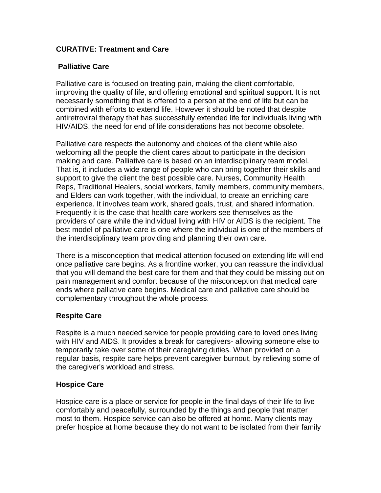# **CURATIVE: Treatment and Care**

## **Palliative Care**

Palliative care is focused on treating pain, making the client comfortable, improving the quality of life, and offering emotional and spiritual support. It is not necessarily something that is offered to a person at the end of life but can be combined with efforts to extend life. However it should be noted that despite antiretroviral therapy that has successfully extended life for individuals living with HIV/AIDS, the need for end of life considerations has not become obsolete.

Palliative care respects the autonomy and choices of the client while also welcoming all the people the client cares about to participate in the decision making and care. Palliative care is based on an interdisciplinary team model. That is, it includes a wide range of people who can bring together their skills and support to give the client the best possible care. Nurses, Community Health Reps, Traditional Healers, social workers, family members, community members, and Elders can work together, with the individual, to create an enriching care experience. It involves team work, shared goals, trust, and shared information. Frequently it is the case that health care workers see themselves as the providers of care while the individual living with HIV or AIDS is the recipient. The best model of palliative care is one where the individual is one of the members of the interdisciplinary team providing and planning their own care.

There is a misconception that medical attention focused on extending life will end once palliative care begins. As a frontline worker, you can reassure the individual that you will demand the best care for them and that they could be missing out on pain management and comfort because of the misconception that medical care ends where palliative care begins. Medical care and palliative care should be complementary throughout the whole process.

# **Respite Care**

Respite is a much needed service for people providing care to loved ones living with HIV and AIDS. It provides a break for caregivers- allowing someone else to temporarily take over some of their caregiving duties. When provided on a regular basis, respite care helps prevent caregiver burnout, by relieving some of the caregiver's workload and stress.

## **Hospice Care**

Hospice care is a place or service for people in the final days of their life to live comfortably and peacefully, surrounded by the things and people that matter most to them. Hospice service can also be offered at home. Many clients may prefer hospice at home because they do not want to be isolated from their family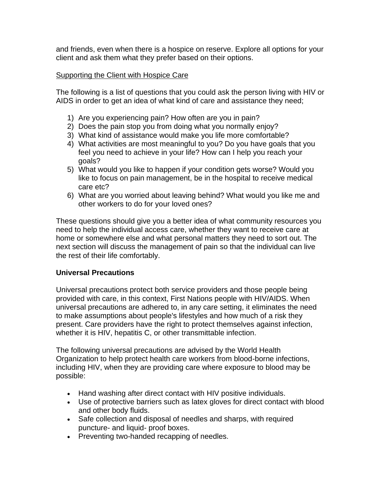and friends, even when there is a hospice on reserve. Explore all options for your client and ask them what they prefer based on their options.

## Supporting the Client with Hospice Care

The following is a list of questions that you could ask the person living with HIV or AIDS in order to get an idea of what kind of care and assistance they need;

- 1) Are you experiencing pain? How often are you in pain?
- 2) Does the pain stop you from doing what you normally enjoy?
- 3) What kind of assistance would make you life more comfortable?
- 4) What activities are most meaningful to you? Do you have goals that you feel you need to achieve in your life? How can I help you reach your goals?
- 5) What would you like to happen if your condition gets worse? Would you like to focus on pain management, be in the hospital to receive medical care etc?
- 6) What are you worried about leaving behind? What would you like me and other workers to do for your loved ones?

These questions should give you a better idea of what community resources you need to help the individual access care, whether they want to receive care at home or somewhere else and what personal matters they need to sort out. The next section will discuss the management of pain so that the individual can live the rest of their life comfortably.

## **Universal Precautions**

Universal precautions protect both service providers and those people being provided with care, in this context, First Nations people with HIV/AIDS. When universal precautions are adhered to, in any care setting, it eliminates the need to make assumptions about people's lifestyles and how much of a risk they present. Care providers have the right to protect themselves against infection, whether it is HIV, hepatitis C, or other transmittable infection.

The following universal precautions are advised by the World Health Organization to help protect health care workers from blood-borne infections, including HIV, when they are providing care where exposure to blood may be possible:

- Hand washing after direct contact with HIV positive individuals.
- Use of protective barriers such as latex gloves for direct contact with blood and other body fluids.
- Safe collection and disposal of needles and sharps, with required puncture- and liquid- proof boxes.
- Preventing two-handed recapping of needles.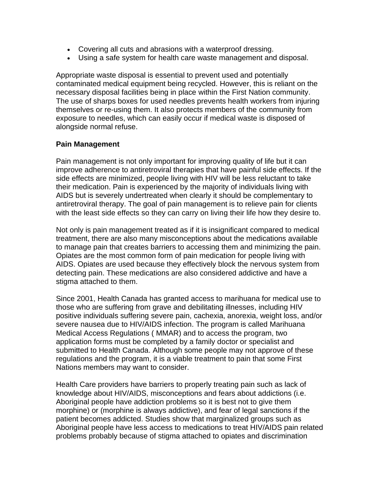- Covering all cuts and abrasions with a waterproof dressing.
- Using a safe system for health care waste management and disposal.

Appropriate waste disposal is essential to prevent used and potentially contaminated medical equipment being recycled. However, this is reliant on the necessary disposal facilities being in place within the First Nation community. The use of sharps boxes for used needles prevents health workers from injuring themselves or re-using them. It also protects members of the community from exposure to needles, which can easily occur if medical waste is disposed of alongside normal refuse.

## **Pain Management**

Pain management is not only important for improving quality of life but it can improve adherence to antiretroviral therapies that have painful side effects. If the side effects are minimized, people living with HIV will be less reluctant to take their medication. Pain is experienced by the majority of individuals living with AIDS but is severely undertreated when clearly it should be complementary to antiretroviral therapy. The goal of pain management is to relieve pain for clients with the least side effects so they can carry on living their life how they desire to.

Not only is pain management treated as if it is insignificant compared to medical treatment, there are also many misconceptions about the medications available to manage pain that creates barriers to accessing them and minimizing the pain. Opiates are the most common form of pain medication for people living with AIDS. Opiates are used because they effectively block the nervous system from detecting pain. These medications are also considered addictive and have a stigma attached to them.

Since 2001, Health Canada has granted access to marihuana for medical use to those who are suffering from grave and debilitating illnesses, including HIV positive individuals suffering severe pain, cachexia, anorexia, weight loss, and/or severe nausea due to HIV/AIDS infection. The program is called Marihuana Medical Access Regulations ( MMAR) and to access the program, two application forms must be completed by a family doctor or specialist and submitted to Health Canada. Although some people may not approve of these regulations and the program, it is a viable treatment to pain that some First Nations members may want to consider.

Health Care providers have barriers to properly treating pain such as lack of knowledge about HIV/AIDS, misconceptions and fears about addictions (i.e. Aboriginal people have addiction problems so it is best not to give them morphine) or (morphine is always addictive), and fear of legal sanctions if the patient becomes addicted. Studies show that marginalized groups such as Aboriginal people have less access to medications to treat HIV/AIDS pain related problems probably because of stigma attached to opiates and discrimination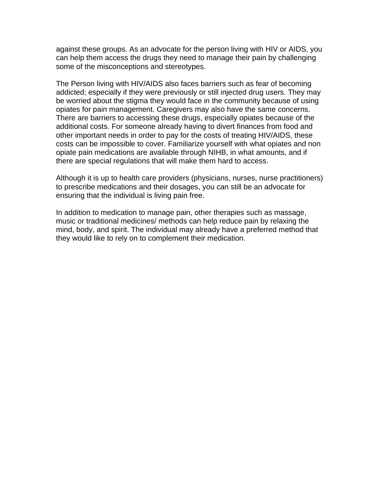against these groups. As an advocate for the person living with HIV or AIDS, you can help them access the drugs they need to manage their pain by challenging some of the misconceptions and stereotypes.

The Person living with HIV/AIDS also faces barriers such as fear of becoming addicted; especially if they were previously or still injected drug users. They may be worried about the stigma they would face in the community because of using opiates for pain management. Caregivers may also have the same concerns. There are barriers to accessing these drugs, especially opiates because of the additional costs. For someone already having to divert finances from food and other important needs in order to pay for the costs of treating HIV/AIDS, these costs can be impossible to cover. Familiarize yourself with what opiates and non opiate pain medications are available through NIHB, in what amounts, and if there are special regulations that will make them hard to access.

Although it is up to health care providers (physicians, nurses, nurse practitioners) to prescribe medications and their dosages, you can still be an advocate for ensuring that the individual is living pain free.

In addition to medication to manage pain, other therapies such as massage, music or traditional medicines/ methods can help reduce pain by relaxing the mind, body, and spirit. The individual may already have a preferred method that they would like to rely on to complement their medication.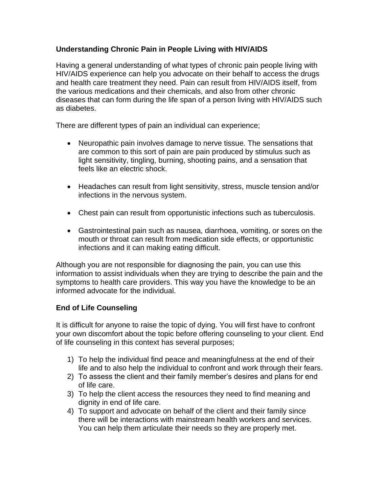# **Understanding Chronic Pain in People Living with HIV/AIDS**

Having a general understanding of what types of chronic pain people living with HIV/AIDS experience can help you advocate on their behalf to access the drugs and health care treatment they need. Pain can result from HIV/AIDS itself, from the various medications and their chemicals, and also from other chronic diseases that can form during the life span of a person living with HIV/AIDS such as diabetes.

There are different types of pain an individual can experience;

- Neuropathic pain involves damage to nerve tissue. The sensations that are common to this sort of pain are pain produced by stimulus such as light sensitivity, tingling, burning, shooting pains, and a sensation that feels like an electric shock.
- Headaches can result from light sensitivity, stress, muscle tension and/or infections in the nervous system.
- Chest pain can result from opportunistic infections such as tuberculosis.
- Gastrointestinal pain such as nausea, diarrhoea, vomiting, or sores on the mouth or throat can result from medication side effects, or opportunistic infections and it can making eating difficult.

Although you are not responsible for diagnosing the pain, you can use this information to assist individuals when they are trying to describe the pain and the symptoms to health care providers. This way you have the knowledge to be an informed advocate for the individual.

# **End of Life Counseling**

It is difficult for anyone to raise the topic of dying. You will first have to confront your own discomfort about the topic before offering counseling to your client. End of life counseling in this context has several purposes;

- 1) To help the individual find peace and meaningfulness at the end of their life and to also help the individual to confront and work through their fears.
- 2) To assess the client and their family member's desires and plans for end of life care.
- 3) To help the client access the resources they need to find meaning and dignity in end of life care.
- 4) To support and advocate on behalf of the client and their family since there will be interactions with mainstream health workers and services. You can help them articulate their needs so they are properly met.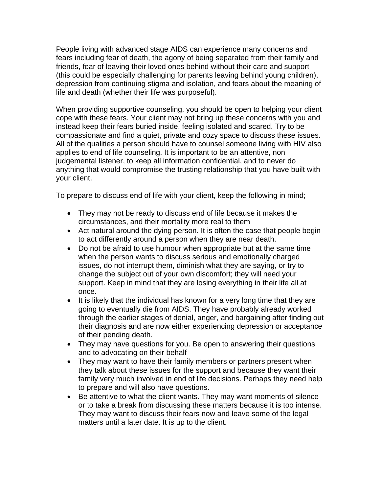People living with advanced stage AIDS can experience many concerns and fears including fear of death, the agony of being separated from their family and friends, fear of leaving their loved ones behind without their care and support (this could be especially challenging for parents leaving behind young children), depression from continuing stigma and isolation, and fears about the meaning of life and death (whether their life was purposeful).

When providing supportive counseling, you should be open to helping your client cope with these fears. Your client may not bring up these concerns with you and instead keep their fears buried inside, feeling isolated and scared. Try to be compassionate and find a quiet, private and cozy space to discuss these issues. All of the qualities a person should have to counsel someone living with HIV also applies to end of life counseling. It is important to be an attentive, non judgemental listener, to keep all information confidential, and to never do anything that would compromise the trusting relationship that you have built with your client.

To prepare to discuss end of life with your client, keep the following in mind;

- They may not be ready to discuss end of life because it makes the circumstances, and their mortality more real to them
- Act natural around the dying person. It is often the case that people begin to act differently around a person when they are near death.
- Do not be afraid to use humour when appropriate but at the same time when the person wants to discuss serious and emotionally charged issues, do not interrupt them, diminish what they are saying, or try to change the subject out of your own discomfort; they will need your support. Keep in mind that they are losing everything in their life all at once.
- It is likely that the individual has known for a very long time that they are going to eventually die from AIDS. They have probably already worked through the earlier stages of denial, anger, and bargaining after finding out their diagnosis and are now either experiencing depression or acceptance of their pending death.
- They may have questions for you. Be open to answering their questions and to advocating on their behalf
- They may want to have their family members or partners present when they talk about these issues for the support and because they want their family very much involved in end of life decisions. Perhaps they need help to prepare and will also have questions.
- Be attentive to what the client wants. They may want moments of silence or to take a break from discussing these matters because it is too intense. They may want to discuss their fears now and leave some of the legal matters until a later date. It is up to the client.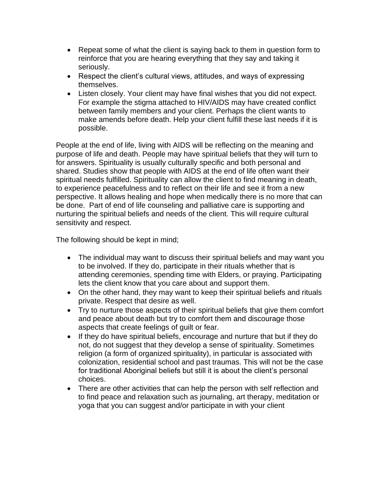- Repeat some of what the client is saying back to them in question form to reinforce that you are hearing everything that they say and taking it seriously.
- Respect the client's cultural views, attitudes, and ways of expressing themselves.
- Listen closely. Your client may have final wishes that you did not expect. For example the stigma attached to HIV/AIDS may have created conflict between family members and your client. Perhaps the client wants to make amends before death. Help your client fulfill these last needs if it is possible.

People at the end of life, living with AIDS will be reflecting on the meaning and purpose of life and death. People may have spiritual beliefs that they will turn to for answers. Spirituality is usually culturally specific and both personal and shared. Studies show that people with AIDS at the end of life often want their spiritual needs fulfilled. Spirituality can allow the client to find meaning in death, to experience peacefulness and to reflect on their life and see it from a new perspective. It allows healing and hope when medically there is no more that can be done. Part of end of life counseling and palliative care is supporting and nurturing the spiritual beliefs and needs of the client. This will require cultural sensitivity and respect.

The following should be kept in mind;

- The individual may want to discuss their spiritual beliefs and may want you to be involved. If they do, participate in their rituals whether that is attending ceremonies, spending time with Elders, or praying. Participating lets the client know that you care about and support them.
- On the other hand, they may want to keep their spiritual beliefs and rituals private. Respect that desire as well.
- Try to nurture those aspects of their spiritual beliefs that give them comfort and peace about death but try to comfort them and discourage those aspects that create feelings of guilt or fear.
- If they do have spiritual beliefs, encourage and nurture that but if they do not, do not suggest that they develop a sense of spirituality. Sometimes religion (a form of organized spirituality), in particular is associated with colonization, residential school and past traumas. This will not be the case for traditional Aboriginal beliefs but still it is about the client's personal choices.
- There are other activities that can help the person with self reflection and to find peace and relaxation such as journaling, art therapy, meditation or yoga that you can suggest and/or participate in with your client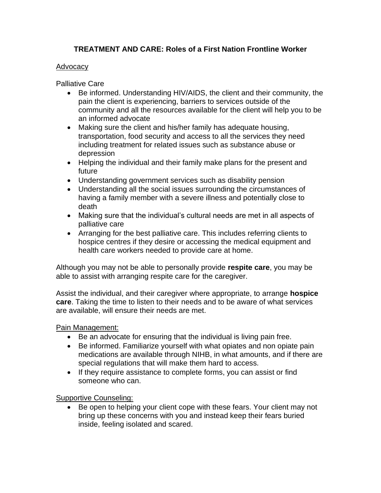# **TREATMENT AND CARE: Roles of a First Nation Frontline Worker**

## Advocacy

Palliative Care

- Be informed. Understanding HIV/AIDS, the client and their community, the pain the client is experiencing, barriers to services outside of the community and all the resources available for the client will help you to be an informed advocate
- Making sure the client and his/her family has adequate housing, transportation, food security and access to all the services they need including treatment for related issues such as substance abuse or depression
- Helping the individual and their family make plans for the present and future
- Understanding government services such as disability pension
- Understanding all the social issues surrounding the circumstances of having a family member with a severe illness and potentially close to death
- Making sure that the individual's cultural needs are met in all aspects of palliative care
- Arranging for the best palliative care. This includes referring clients to hospice centres if they desire or accessing the medical equipment and health care workers needed to provide care at home.

Although you may not be able to personally provide **respite care**, you may be able to assist with arranging respite care for the caregiver.

Assist the individual, and their caregiver where appropriate, to arrange **hospice care**. Taking the time to listen to their needs and to be aware of what services are available, will ensure their needs are met.

# Pain Management:

- Be an advocate for ensuring that the individual is living pain free.
- Be informed. Familiarize yourself with what opiates and non opiate pain medications are available through NIHB, in what amounts, and if there are special regulations that will make them hard to access.
- If they require assistance to complete forms, you can assist or find someone who can.

Supportive Counseling:

• Be open to helping your client cope with these fears. Your client may not bring up these concerns with you and instead keep their fears buried inside, feeling isolated and scared.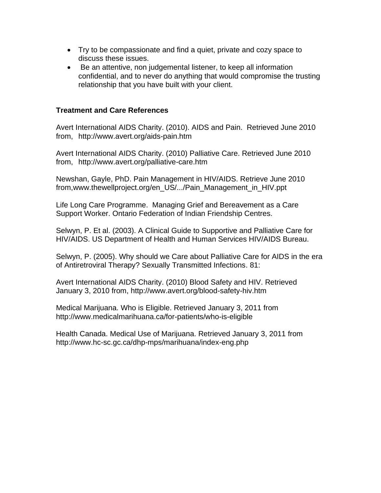- Try to be compassionate and find a quiet, private and cozy space to discuss these issues.
- Be an attentive, non judgemental listener, to keep all information confidential, and to never do anything that would compromise the trusting relationship that you have built with your client.

## **Treatment and Care References**

Avert International AIDS Charity. (2010). AIDS and Pain. Retrieved June 2010 from, http://www.avert.org/aids-pain.htm

Avert International AIDS Charity. (2010) Palliative Care. Retrieved June 2010 from, http://www.avert.org/palliative-care.htm

Newshan, Gayle, PhD. Pain Management in HIV/AIDS. Retrieve June 2010 from,www.thewellproject.org/en\_US/.../Pain\_Management\_in\_HIV.ppt

Life Long Care Programme. Managing Grief and Bereavement as a Care Support Worker. Ontario Federation of Indian Friendship Centres.

Selwyn, P. Et al. (2003). A Clinical Guide to Supportive and Palliative Care for HIV/AIDS. US Department of Health and Human Services HIV/AIDS Bureau.

Selwyn, P. (2005). Why should we Care about Palliative Care for AIDS in the era of Antiretroviral Therapy? Sexually Transmitted Infections. 81:

Avert International AIDS Charity. (2010) Blood Safety and HIV. Retrieved January 3, 2010 from, http://www.avert.org/blood-safety-hiv.htm

Medical Marijuana. Who is Eligible. Retrieved January 3, 2011 from http://www.medicalmarihuana.ca/for-patients/who-is-eligible

Health Canada. Medical Use of Marijuana. Retrieved January 3, 2011 from http://www.hc-sc.gc.ca/dhp-mps/marihuana/index-eng.php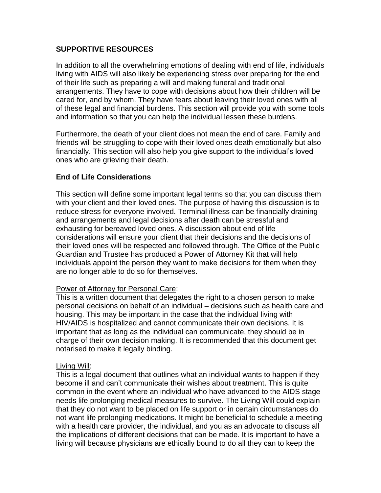# **SUPPORTIVE RESOURCES**

In addition to all the overwhelming emotions of dealing with end of life, individuals living with AIDS will also likely be experiencing stress over preparing for the end of their life such as preparing a will and making funeral and traditional arrangements. They have to cope with decisions about how their children will be cared for, and by whom. They have fears about leaving their loved ones with all of these legal and financial burdens. This section will provide you with some tools and information so that you can help the individual lessen these burdens.

Furthermore, the death of your client does not mean the end of care. Family and friends will be struggling to cope with their loved ones death emotionally but also financially. This section will also help you give support to the individual's loved ones who are grieving their death.

## **End of Life Considerations**

This section will define some important legal terms so that you can discuss them with your client and their loved ones. The purpose of having this discussion is to reduce stress for everyone involved. Terminal illness can be financially draining and arrangements and legal decisions after death can be stressful and exhausting for bereaved loved ones. A discussion about end of life considerations will ensure your client that their decisions and the decisions of their loved ones will be respected and followed through. The Office of the Public Guardian and Trustee has produced a Power of Attorney Kit that will help individuals appoint the person they want to make decisions for them when they are no longer able to do so for themselves.

## Power of Attorney for Personal Care:

This is a written document that delegates the right to a chosen person to make personal decisions on behalf of an individual – decisions such as health care and housing. This may be important in the case that the individual living with HIV/AIDS is hospitalized and cannot communicate their own decisions. It is important that as long as the individual can communicate, they should be in charge of their own decision making. It is recommended that this document get notarised to make it legally binding.

#### Living Will:

This is a legal document that outlines what an individual wants to happen if they become ill and can't communicate their wishes about treatment. This is quite common in the event where an individual who have advanced to the AIDS stage needs life prolonging medical measures to survive. The Living Will could explain that they do not want to be placed on life support or in certain circumstances do not want life prolonging medications. It might be beneficial to schedule a meeting with a health care provider, the individual, and you as an advocate to discuss all the implications of different decisions that can be made. It is important to have a living will because physicians are ethically bound to do all they can to keep the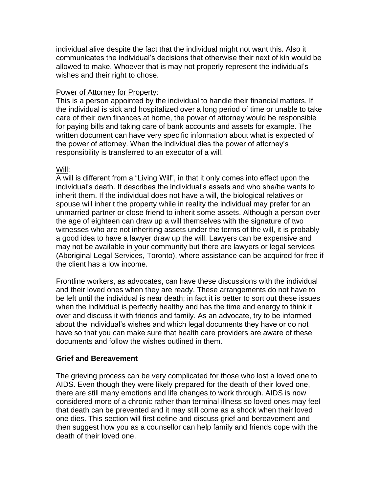individual alive despite the fact that the individual might not want this. Also it communicates the individual's decisions that otherwise their next of kin would be allowed to make. Whoever that is may not properly represent the individual's wishes and their right to chose.

## Power of Attorney for Property:

This is a person appointed by the individual to handle their financial matters. If the individual is sick and hospitalized over a long period of time or unable to take care of their own finances at home, the power of attorney would be responsible for paying bills and taking care of bank accounts and assets for example. The written document can have very specific information about what is expected of the power of attorney. When the individual dies the power of attorney's responsibility is transferred to an executor of a will.

## Will:

A will is different from a "Living Will", in that it only comes into effect upon the individual's death. It describes the individual's assets and who she/he wants to inherit them. If the individual does not have a will, the biological relatives or spouse will inherit the property while in reality the individual may prefer for an unmarried partner or close friend to inherit some assets. Although a person over the age of eighteen can draw up a will themselves with the signature of two witnesses who are not inheriting assets under the terms of the will, it is probably a good idea to have a lawyer draw up the will. Lawyers can be expensive and may not be available in your community but there are lawyers or legal services (Aboriginal Legal Services, Toronto), where assistance can be acquired for free if the client has a low income.

Frontline workers, as advocates, can have these discussions with the individual and their loved ones when they are ready. These arrangements do not have to be left until the individual is near death; in fact it is better to sort out these issues when the individual is perfectly healthy and has the time and energy to think it over and discuss it with friends and family. As an advocate, try to be informed about the individual's wishes and which legal documents they have or do not have so that you can make sure that health care providers are aware of these documents and follow the wishes outlined in them.

# **Grief and Bereavement**

The grieving process can be very complicated for those who lost a loved one to AIDS. Even though they were likely prepared for the death of their loved one, there are still many emotions and life changes to work through. AIDS is now considered more of a chronic rather than terminal illness so loved ones may feel that death can be prevented and it may still come as a shock when their loved one dies. This section will first define and discuss grief and bereavement and then suggest how you as a counsellor can help family and friends cope with the death of their loved one.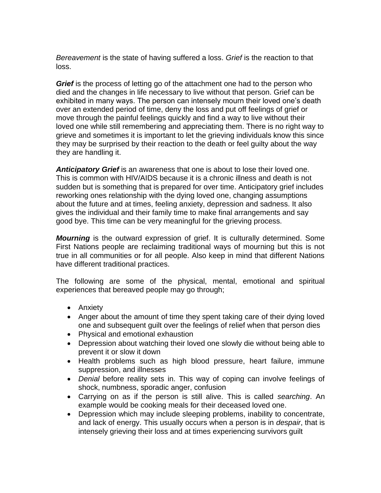*Bereavement* is the state of having suffered a loss. *Grief* is the reaction to that loss.

*Grief* is the process of letting go of the attachment one had to the person who died and the changes in life necessary to live without that person. Grief can be exhibited in many ways. The person can intensely mourn their loved one's death over an extended period of time, deny the loss and put off feelings of grief or move through the painful feelings quickly and find a way to live without their loved one while still remembering and appreciating them. There is no right way to grieve and sometimes it is important to let the grieving individuals know this since they may be surprised by their reaction to the death or feel guilty about the way they are handling it.

*Anticipatory Grief* is an awareness that one is about to lose their loved one. This is common with HIV/AIDS because it is a chronic illness and death is not sudden but is something that is prepared for over time. Anticipatory grief includes reworking ones relationship with the dying loved one, changing assumptions about the future and at times, feeling anxiety, depression and sadness. It also gives the individual and their family time to make final arrangements and say good bye. This time can be very meaningful for the grieving process.

*Mourning* is the outward expression of grief. It is culturally determined. Some First Nations people are reclaiming traditional ways of mourning but this is not true in all communities or for all people. Also keep in mind that different Nations have different traditional practices.

The following are some of the physical, mental, emotional and spiritual experiences that bereaved people may go through;

- Anxiety
- Anger about the amount of time they spent taking care of their dying loved one and subsequent guilt over the feelings of relief when that person dies
- Physical and emotional exhaustion
- Depression about watching their loved one slowly die without being able to prevent it or slow it down
- Health problems such as high blood pressure, heart failure, immune suppression, and illnesses
- *Denial* before reality sets in. This way of coping can involve feelings of shock, numbness, sporadic anger, confusion
- Carrying on as if the person is still alive. This is called *searching*. An example would be cooking meals for their deceased loved one.
- Depression which may include sleeping problems, inability to concentrate, and lack of energy. This usually occurs when a person is in *despair*, that is intensely grieving their loss and at times experiencing survivors guilt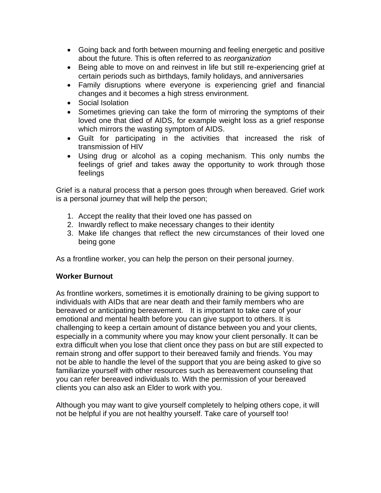- Going back and forth between mourning and feeling energetic and positive about the future. This is often referred to as *reorganization*
- Being able to move on and reinvest in life but still re-experiencing grief at certain periods such as birthdays, family holidays, and anniversaries
- Family disruptions where everyone is experiencing grief and financial changes and it becomes a high stress environment.
- Social Isolation
- Sometimes grieving can take the form of mirroring the symptoms of their loved one that died of AIDS, for example weight loss as a grief response which mirrors the wasting symptom of AIDS.
- Guilt for participating in the activities that increased the risk of transmission of HIV
- Using drug or alcohol as a coping mechanism. This only numbs the feelings of grief and takes away the opportunity to work through those feelings

Grief is a natural process that a person goes through when bereaved. Grief work is a personal journey that will help the person;

- 1. Accept the reality that their loved one has passed on
- 2. Inwardly reflect to make necessary changes to their identity
- 3. Make life changes that reflect the new circumstances of their loved one being gone

As a frontline worker, you can help the person on their personal journey.

# **Worker Burnout**

As frontline workers, sometimes it is emotionally draining to be giving support to individuals with AIDs that are near death and their family members who are bereaved or anticipating bereavement. It is important to take care of your emotional and mental health before you can give support to others. It is challenging to keep a certain amount of distance between you and your clients, especially in a community where you may know your client personally. It can be extra difficult when you lose that client once they pass on but are still expected to remain strong and offer support to their bereaved family and friends. You may not be able to handle the level of the support that you are being asked to give so familiarize yourself with other resources such as bereavement counseling that you can refer bereaved individuals to. With the permission of your bereaved clients you can also ask an Elder to work with you.

Although you may want to give yourself completely to helping others cope, it will not be helpful if you are not healthy yourself. Take care of yourself too!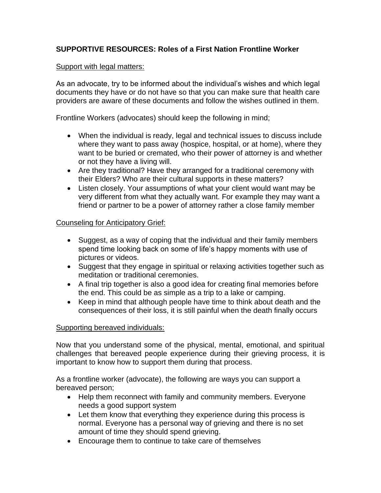# **SUPPORTIVE RESOURCES: Roles of a First Nation Frontline Worker**

## Support with legal matters:

As an advocate, try to be informed about the individual's wishes and which legal documents they have or do not have so that you can make sure that health care providers are aware of these documents and follow the wishes outlined in them.

Frontline Workers (advocates) should keep the following in mind;

- When the individual is ready, legal and technical issues to discuss include where they want to pass away (hospice, hospital, or at home), where they want to be buried or cremated, who their power of attorney is and whether or not they have a living will.
- Are they traditional? Have they arranged for a traditional ceremony with their Elders? Who are their cultural supports in these matters?
- Listen closely. Your assumptions of what your client would want may be very different from what they actually want. For example they may want a friend or partner to be a power of attorney rather a close family member

## Counseling for Anticipatory Grief:

- Suggest, as a way of coping that the individual and their family members spend time looking back on some of life's happy moments with use of pictures or videos.
- Suggest that they engage in spiritual or relaxing activities together such as meditation or traditional ceremonies.
- A final trip together is also a good idea for creating final memories before the end. This could be as simple as a trip to a lake or camping.
- Keep in mind that although people have time to think about death and the consequences of their loss, it is still painful when the death finally occurs

## Supporting bereaved individuals:

Now that you understand some of the physical, mental, emotional, and spiritual challenges that bereaved people experience during their grieving process, it is important to know how to support them during that process.

As a frontline worker (advocate), the following are ways you can support a bereaved person;

- Help them reconnect with family and community members. Everyone needs a good support system
- Let them know that everything they experience during this process is normal. Everyone has a personal way of grieving and there is no set amount of time they should spend grieving.
- Encourage them to continue to take care of themselves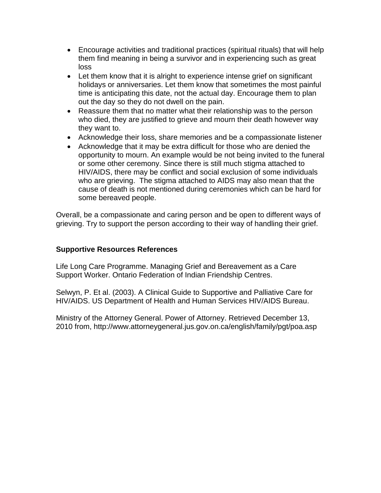- Encourage activities and traditional practices (spiritual rituals) that will help them find meaning in being a survivor and in experiencing such as great loss
- Let them know that it is alright to experience intense grief on significant holidays or anniversaries. Let them know that sometimes the most painful time is anticipating this date, not the actual day. Encourage them to plan out the day so they do not dwell on the pain.
- Reassure them that no matter what their relationship was to the person who died, they are justified to grieve and mourn their death however way they want to.
- Acknowledge their loss, share memories and be a compassionate listener
- Acknowledge that it may be extra difficult for those who are denied the opportunity to mourn. An example would be not being invited to the funeral or some other ceremony. Since there is still much stigma attached to HIV/AIDS, there may be conflict and social exclusion of some individuals who are grieving. The stigma attached to AIDS may also mean that the cause of death is not mentioned during ceremonies which can be hard for some bereaved people.

Overall, be a compassionate and caring person and be open to different ways of grieving. Try to support the person according to their way of handling their grief.

# **Supportive Resources References**

Life Long Care Programme. Managing Grief and Bereavement as a Care Support Worker. Ontario Federation of Indian Friendship Centres.

Selwyn, P. Et al. (2003). A Clinical Guide to Supportive and Palliative Care for HIV/AIDS. US Department of Health and Human Services HIV/AIDS Bureau.

Ministry of the Attorney General. Power of Attorney. Retrieved December 13, 2010 from, http://www.attorneygeneral.jus.gov.on.ca/english/family/pgt/poa.asp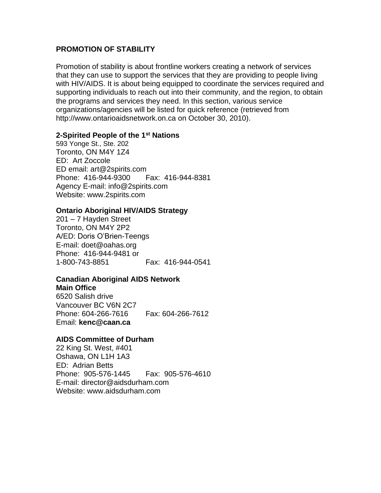#### **PROMOTION OF STABILITY**

Promotion of stability is about frontline workers creating a network of services that they can use to support the services that they are providing to people living with HIV/AIDS. It is about being equipped to coordinate the services required and supporting individuals to reach out into their community, and the region, to obtain the programs and services they need. In this section, various service organizations/agencies will be listed for quick reference (retrieved from http://www.ontarioaidsnetwork.on.ca on October 30, 2010).

#### **2-Spirited People of the 1st Nations**

593 Yonge St., Ste. 202 Toronto, ON M4Y 1Z4 ED: Art Zoccole ED email: art@2spirits.com Phone: 416-944-9300 Fax: 416-944-8381 Agency E-mail: info@2spirits.com Website: www.2spirits.com

#### **Ontario Aboriginal HIV/AIDS Strategy**

201 – 7 Hayden Street Toronto, ON M4Y 2P2 A/ED: Doris O'Brien-Teengs E-mail: doet@oahas.org Phone: 416-944-9481 or 1-800-743-8851 Fax: 416-944-0541

#### **Canadian Aboriginal AIDS Network**

**Main Office** 6520 Salish drive Vancouver BC V6N 2C7 Phone: 604-266-7616 Fax: 604-266-7612 Email: **kenc@caan.ca**

#### **AIDS Committee of Durham**

22 King St. West, #401 Oshawa, ON L1H 1A3 ED: Adrian Betts Phone: 905-576-1445 Fax: 905-576-4610 E-mail: director@aidsdurham.com Website: www.aidsdurham.com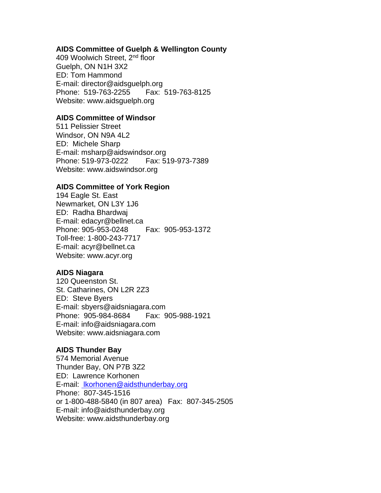#### **AIDS Committee of Guelph & Wellington County**

409 Woolwich Street, 2nd floor Guelph, ON N1H 3X2 ED: Tom Hammond E-mail: director@aidsguelph.org Phone: 519-763-2255 Fax: 519-763-8125 Website: www.aidsguelph.org

#### **AIDS Committee of Windsor**

511 Pelissier Street Windsor, ON N9A 4L2 ED: Michele Sharp E-mail: msharp@aidswindsor.org Phone: 519-973-0222 Fax: 519-973-7389 Website: www.aidswindsor.org

#### **AIDS Committee of York Region**

194 Eagle St. East Newmarket, ON L3Y 1J6 ED: Radha Bhardwaj E-mail: edacyr@bellnet.ca Phone: 905-953-0248 Fax: 905-953-1372 Toll-free: 1-800-243-7717 E-mail: acyr@bellnet.ca Website: www.acyr.org

#### **AIDS Niagara**

120 Queenston St. St. Catharines, ON L2R 2Z3 ED: Steve Byers E-mail: sbyers@aidsniagara.com Phone: 905-984-8684 Fax: 905-988-1921 E-mail: info@aidsniagara.com Website: www.aidsniagara.com

## **AIDS Thunder Bay**

574 Memorial Avenue Thunder Bay, ON P7B 3Z2 ED: Lawrence Korhonen E-mail: lkorhonen@aidsthunderbay.org Phone: 807-345-1516 or 1-800-488-5840 (in 807 area) Fax: 807-345-2505 E-mail: info@aidsthunderbay.org Website: www.aidsthunderbay.org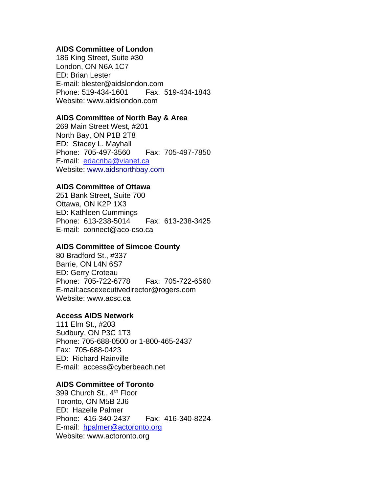#### **AIDS Committee of London**

186 King Street, Suite #30 London, ON N6A 1C7 ED: Brian Lester E-mail: blester@aidslondon.com Phone: 519-434-1601 Fax: 519-434-1843 Website: www.aidslondon.com

#### **AIDS Committee of North Bay & Area**

269 Main Street West, #201 North Bay, ON P1B 2T8 ED: Stacey L. Mayhall Phone: 705-497-3560 Fax: 705-497-7850 E-mail: edacnba@vianet.ca Website: www.aidsnorthbay.com

#### **AIDS Committee of Ottawa**

251 Bank Street, Suite 700 Ottawa, ON K2P 1X3 ED: Kathleen Cummings Phone: 613-238-5014 Fax: 613-238-3425 E-mail: connect@aco-cso.ca

#### **AIDS Committee of Simcoe County**

80 Bradford St., #337 Barrie, ON L4N 6S7 ED: Gerry Croteau Phone: 705-722-6778 Fax: 705-722-6560 E-mail:acscexecutivedirector@rogers.com Website: www.acsc.ca

#### **Access AIDS Network**

111 Elm St., #203 Sudbury, ON P3C 1T3 Phone: 705-688-0500 or 1-800-465-2437 Fax: 705-688-0423 ED: Richard Rainville E-mail: access@cyberbeach.net

#### **AIDS Committee of Toronto**

399 Church St., 4<sup>th</sup> Floor Toronto, ON M5B 2J6 ED: Hazelle Palmer Phone: 416-340-2437 Fax: 416-340-8224 E-mail: hpalmer@actoronto.org Website: www.actoronto.org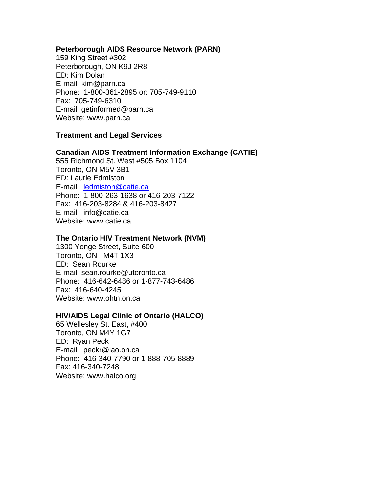#### **Peterborough AIDS Resource Network (PARN)**

159 King Street #302 Peterborough, ON K9J 2R8 ED: Kim Dolan E-mail: kim@parn.ca Phone: 1-800-361-2895 or: 705-749-9110 Fax: 705-749-6310 E-mail: getinformed@parn.ca Website: www.parn.ca

#### **Treatment and Legal Services**

#### **Canadian AIDS Treatment Information Exchange (CATIE)**

555 Richmond St. West #505 Box 1104 Toronto, ON M5V 3B1 ED: Laurie Edmiston E-mail: ledmiston@catie.ca Phone: 1-800-263-1638 or 416-203-7122 Fax: 416-203-8284 & 416-203-8427 E-mail: info@catie.ca Website: www.catie.ca

#### **The Ontario HIV Treatment Network (NVM)**

1300 Yonge Street, Suite 600 Toronto, ON M4T 1X3 ED: Sean Rourke E-mail: sean.rourke@utoronto.ca Phone: 416-642-6486 or 1-877-743-6486 Fax: 416-640-4245 Website: www.ohtn.on.ca

#### **HIV/AIDS Legal Clinic of Ontario (HALCO)**

65 Wellesley St. East, #400 Toronto, ON M4Y 1G7 ED: Ryan Peck E-mail: peckr@lao.on.ca Phone: 416-340-7790 or 1-888-705-8889 Fax: 416-340-7248 Website: www.halco.org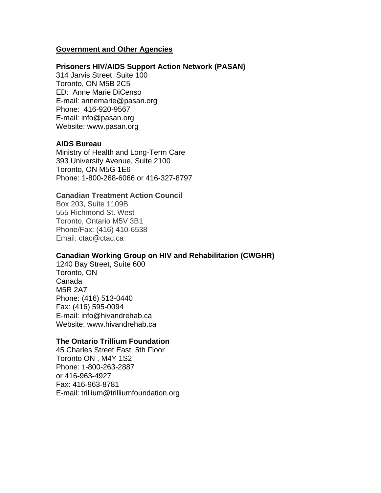#### **Government and Other Agencies**

#### **Prisoners HIV/AIDS Support Action Network (PASAN)**

314 Jarvis Street, Suite 100 Toronto, ON M5B 2C5 ED: Anne Marie DiCenso E-mail: annemarie@pasan.org Phone: 416-920-9567 E-mail: info@pasan.org Website: www.pasan.org

#### **AIDS Bureau**

Ministry of Health and Long-Term Care 393 University Avenue, Suite 2100 Toronto, ON M5G 1E6 Phone: 1-800-268-6066 or 416-327-8797

#### **Canadian Treatment Action Council**

Box 203, Suite 1109B 555 Richmond St. West Toronto, Ontario M5V 3B1 Phone/Fax: (416) 410-6538 Email: ctac@ctac.ca

#### **Canadian Working Group on HIV and Rehabilitation (CWGHR)**

1240 Bay Street, Suite 600 Toronto, ON Canada M5R 2A7 Phone: (416) 513-0440 Fax: (416) 595-0094 E-mail: info@hivandrehab.ca Website: www.hivandrehab.ca

#### **The Ontario Trillium Foundation**

45 Charles Street East, 5th Floor Toronto ON , M4Y 1S2 Phone: 1-800-263-2887 or 416-963-4927 Fax: 416-963-8781 E-mail: trillium@trilliumfoundation.org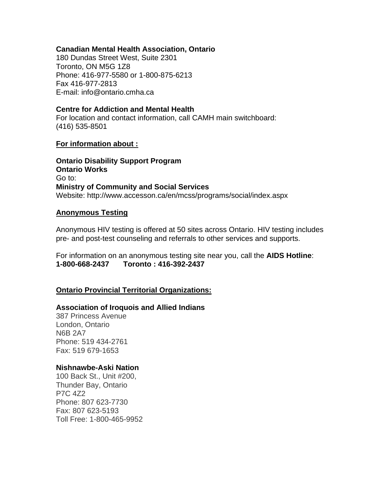#### **Canadian Mental Health Association, Ontario**

180 Dundas Street West, Suite 2301 Toronto, ON M5G 1Z8 Phone: 416-977-5580 or 1-800-875-6213 Fax 416-977-2813 E-mail: info@ontario.cmha.ca

#### **Centre for Addiction and Mental Health**

For location and contact information, call CAMH main switchboard: (416) 535-8501

#### **For information about :**

**Ontario Disability Support Program Ontario Works** Go to: **Ministry of Community and Social Services** Website: http://www.accesson.ca/en/mcss/programs/social/index.aspx

#### **Anonymous Testing**

Anonymous HIV testing is offered at 50 sites across Ontario. HIV testing includes pre- and post-test counseling and referrals to other services and supports.

For information on an anonymous testing site near you, call the **AIDS Hotline**: **1-800-668-2437 Toronto : 416-392-2437**

## **Ontario Provincial Territorial Organizations:**

#### **Association of Iroquois and Allied Indians**

387 Princess Avenue London, Ontario N6B 2A7 Phone: 519 434-2761 Fax: 519 679-1653

#### **Nishnawbe-Aski Nation**

100 Back St., Unit #200, Thunder Bay, Ontario P7C 4Z2 Phone: 807 623-7730 Fax: 807 623-5193 Toll Free: 1-800-465-9952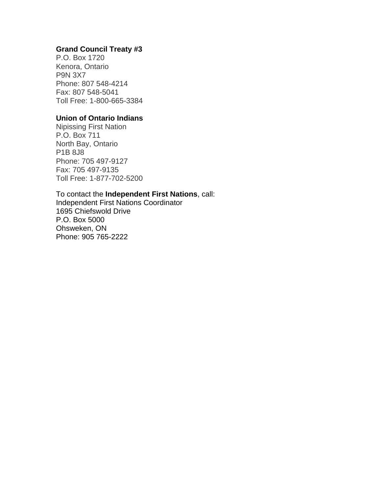# **Grand Council Treaty #3**

P.O. Box 1720 Kenora, Ontario P9N 3X7 Phone: 807 548-4214 Fax: 807 548-5041 Toll Free: 1-800-665-3384

## **Union of Ontario Indians**

Nipissing First Nation P.O. Box 711 North Bay, Ontario P1B 8J8 Phone: 705 497-9127 Fax: 705 497-9135 Toll Free: 1-877-702-5200

To contact the **Independent First Nations**, call: Independent First Nations Coordinator 1695 Chiefswold Drive P.O. Box 5000 Ohsweken, ON Phone: 905 765-2222